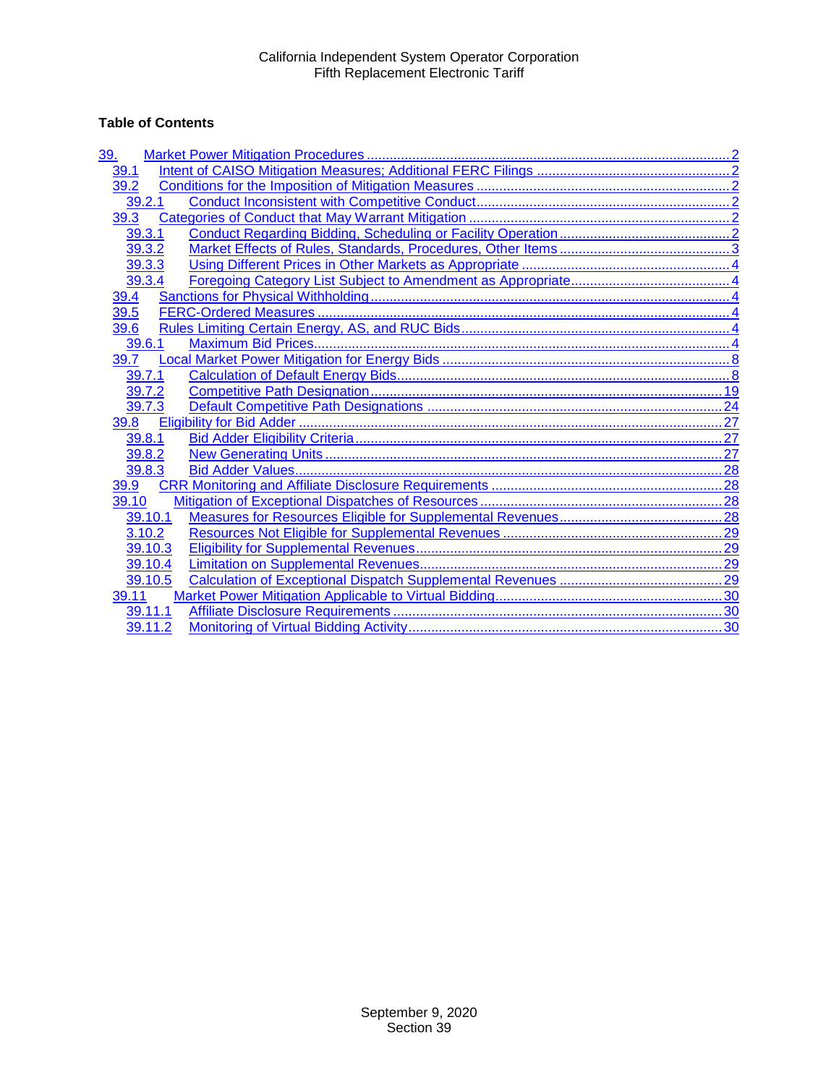# **Table of Contents**

| <u>39.</u> |  |
|------------|--|
| 39.1       |  |
| 39.2       |  |
| 39.2.1     |  |
| 39.3       |  |
| 39.3.1     |  |
| 39.3.2     |  |
| 39.3.3     |  |
| 39.3.4     |  |
| 39.4       |  |
| 39.5       |  |
| 39.6       |  |
| 39.6.1     |  |
| 39.7       |  |
| 39.7.1     |  |
| 39.7.2     |  |
| 39.7.3     |  |
| 39.8       |  |
| 39.8.1     |  |
| 39.8.2     |  |
| 39.8.3     |  |
| 39.9       |  |
| 39.10      |  |
| 39.10.1    |  |
| 3.10.2     |  |
| 39.10.3    |  |
| 39.10.4    |  |
| 39.10.5    |  |
| 39.11      |  |
| 39.11.1    |  |
| 39.11.2    |  |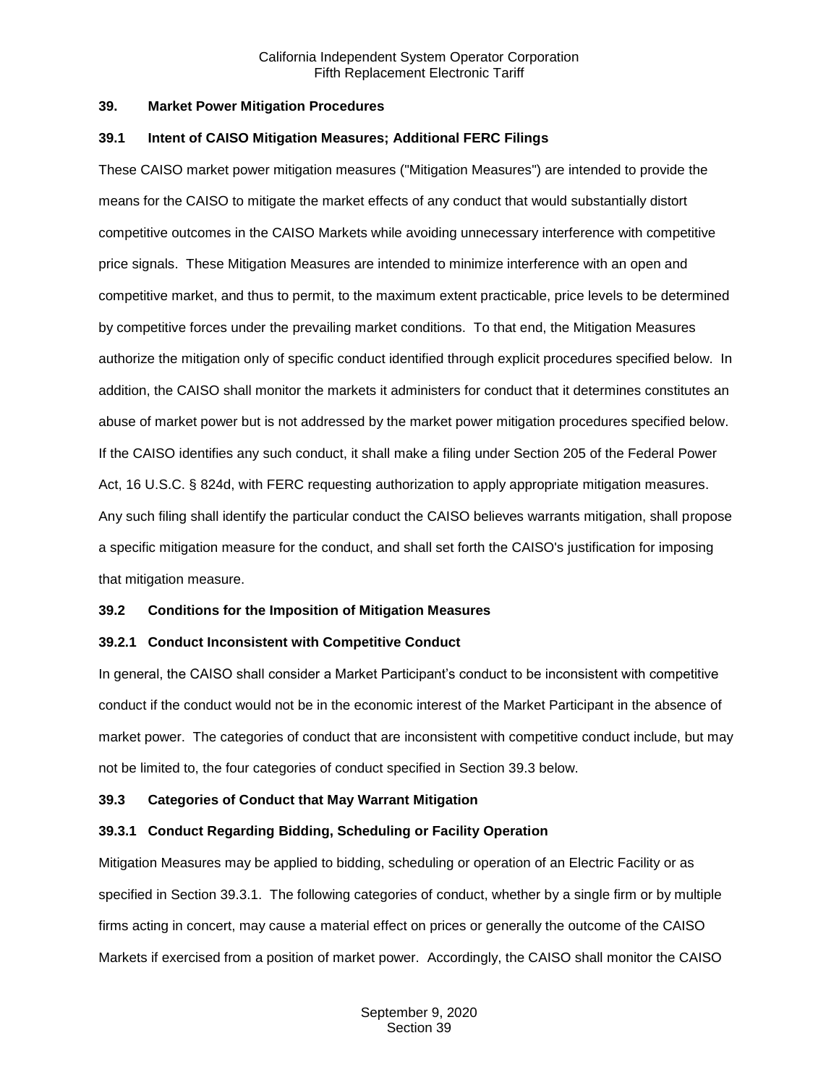#### <span id="page-1-0"></span>**39. Market Power Mitigation Procedures**

#### <span id="page-1-1"></span>**39.1 Intent of CAISO Mitigation Measures; Additional FERC Filings**

These CAISO market power mitigation measures ("Mitigation Measures") are intended to provide the means for the CAISO to mitigate the market effects of any conduct that would substantially distort competitive outcomes in the CAISO Markets while avoiding unnecessary interference with competitive price signals. These Mitigation Measures are intended to minimize interference with an open and competitive market, and thus to permit, to the maximum extent practicable, price levels to be determined by competitive forces under the prevailing market conditions. To that end, the Mitigation Measures authorize the mitigation only of specific conduct identified through explicit procedures specified below. In addition, the CAISO shall monitor the markets it administers for conduct that it determines constitutes an abuse of market power but is not addressed by the market power mitigation procedures specified below. If the CAISO identifies any such conduct, it shall make a filing under Section 205 of the Federal Power Act, 16 U.S.C. § 824d, with FERC requesting authorization to apply appropriate mitigation measures. Any such filing shall identify the particular conduct the CAISO believes warrants mitigation, shall propose a specific mitigation measure for the conduct, and shall set forth the CAISO's justification for imposing that mitigation measure.

## <span id="page-1-2"></span>**39.2 Conditions for the Imposition of Mitigation Measures**

## <span id="page-1-3"></span>**39.2.1 Conduct Inconsistent with Competitive Conduct**

In general, the CAISO shall consider a Market Participant's conduct to be inconsistent with competitive conduct if the conduct would not be in the economic interest of the Market Participant in the absence of market power. The categories of conduct that are inconsistent with competitive conduct include, but may not be limited to, the four categories of conduct specified in Section 39.3 below.

## <span id="page-1-4"></span>**39.3 Categories of Conduct that May Warrant Mitigation**

## <span id="page-1-5"></span>**39.3.1 Conduct Regarding Bidding, Scheduling or Facility Operation**

Mitigation Measures may be applied to bidding, scheduling or operation of an Electric Facility or as specified in Section 39.3.1. The following categories of conduct, whether by a single firm or by multiple firms acting in concert, may cause a material effect on prices or generally the outcome of the CAISO Markets if exercised from a position of market power. Accordingly, the CAISO shall monitor the CAISO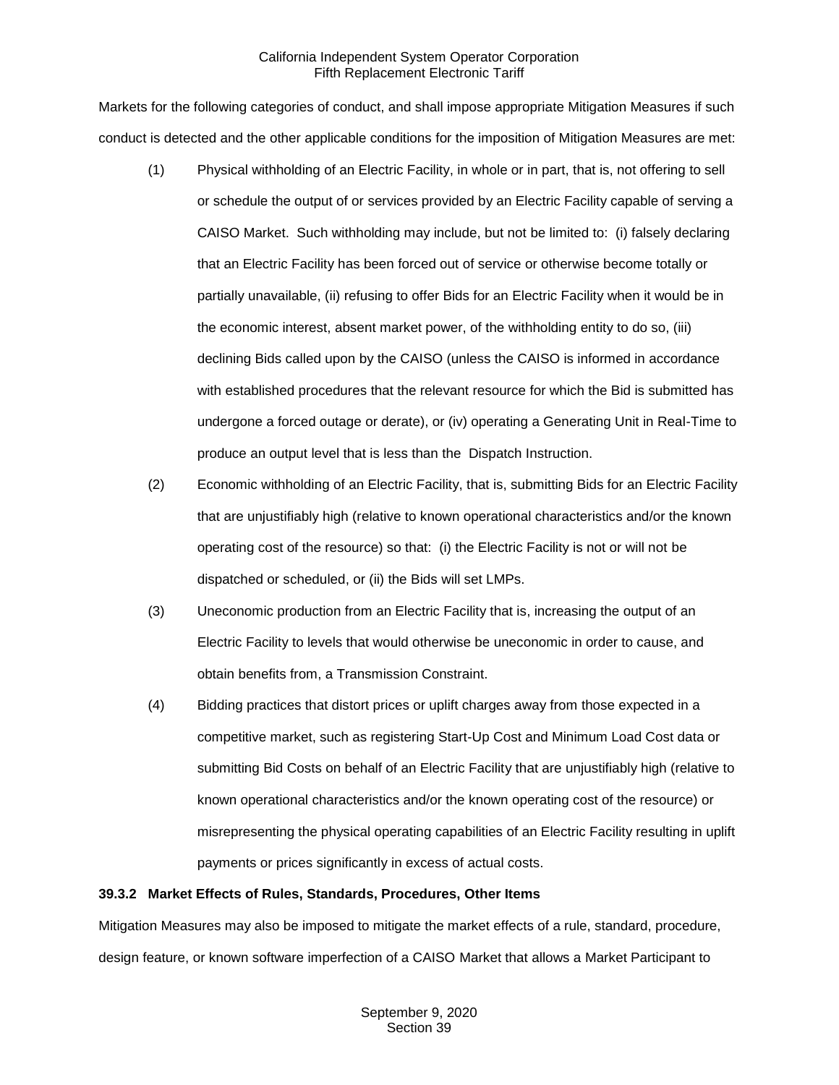Markets for the following categories of conduct, and shall impose appropriate Mitigation Measures if such conduct is detected and the other applicable conditions for the imposition of Mitigation Measures are met:

- (1) Physical withholding of an Electric Facility, in whole or in part, that is, not offering to sell or schedule the output of or services provided by an Electric Facility capable of serving a CAISO Market. Such withholding may include, but not be limited to: (i) falsely declaring that an Electric Facility has been forced out of service or otherwise become totally or partially unavailable, (ii) refusing to offer Bids for an Electric Facility when it would be in the economic interest, absent market power, of the withholding entity to do so, (iii) declining Bids called upon by the CAISO (unless the CAISO is informed in accordance with established procedures that the relevant resource for which the Bid is submitted has undergone a forced outage or derate), or (iv) operating a Generating Unit in Real-Time to produce an output level that is less than the Dispatch Instruction.
- (2) Economic withholding of an Electric Facility, that is, submitting Bids for an Electric Facility that are unjustifiably high (relative to known operational characteristics and/or the known operating cost of the resource) so that: (i) the Electric Facility is not or will not be dispatched or scheduled, or (ii) the Bids will set LMPs.
- (3) Uneconomic production from an Electric Facility that is, increasing the output of an Electric Facility to levels that would otherwise be uneconomic in order to cause, and obtain benefits from, a Transmission Constraint.
- (4) Bidding practices that distort prices or uplift charges away from those expected in a competitive market, such as registering Start-Up Cost and Minimum Load Cost data or submitting Bid Costs on behalf of an Electric Facility that are unjustifiably high (relative to known operational characteristics and/or the known operating cost of the resource) or misrepresenting the physical operating capabilities of an Electric Facility resulting in uplift payments or prices significantly in excess of actual costs.

## <span id="page-2-0"></span>**39.3.2 Market Effects of Rules, Standards, Procedures, Other Items**

Mitigation Measures may also be imposed to mitigate the market effects of a rule, standard, procedure, design feature, or known software imperfection of a CAISO Market that allows a Market Participant to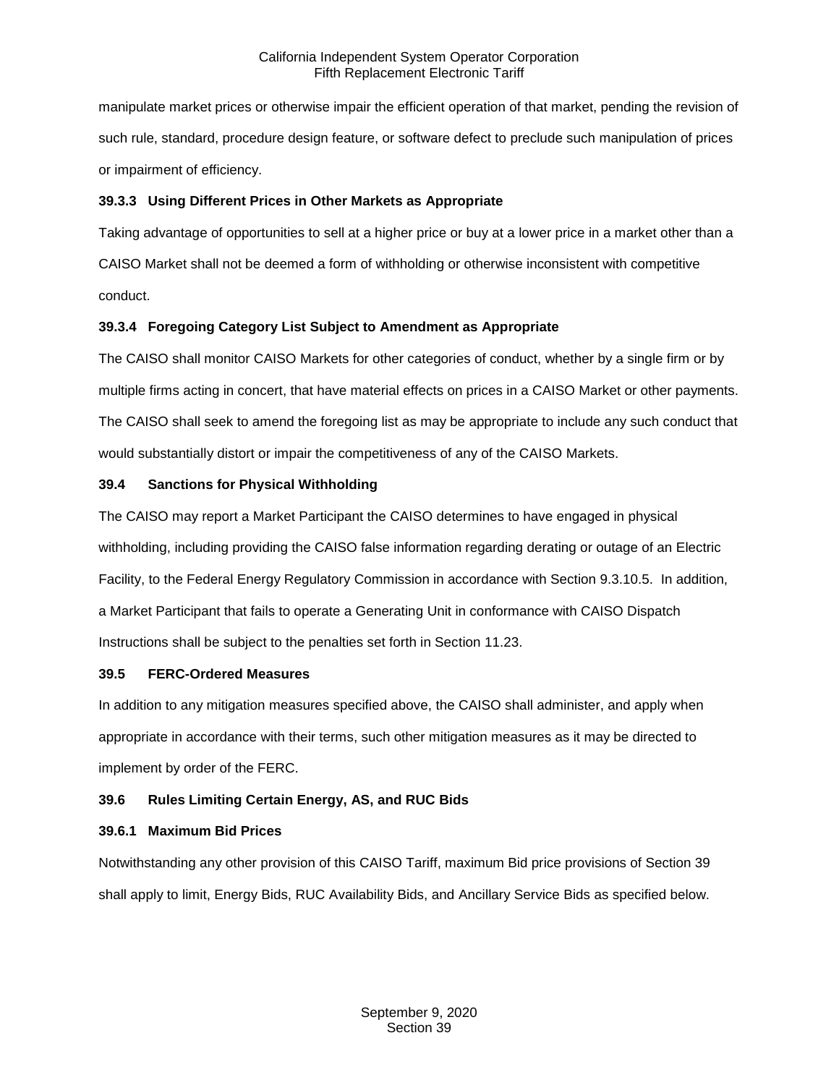manipulate market prices or otherwise impair the efficient operation of that market, pending the revision of such rule, standard, procedure design feature, or software defect to preclude such manipulation of prices or impairment of efficiency.

## <span id="page-3-0"></span>**39.3.3 Using Different Prices in Other Markets as Appropriate**

Taking advantage of opportunities to sell at a higher price or buy at a lower price in a market other than a CAISO Market shall not be deemed a form of withholding or otherwise inconsistent with competitive conduct.

## <span id="page-3-1"></span>**39.3.4 Foregoing Category List Subject to Amendment as Appropriate**

The CAISO shall monitor CAISO Markets for other categories of conduct, whether by a single firm or by multiple firms acting in concert, that have material effects on prices in a CAISO Market or other payments. The CAISO shall seek to amend the foregoing list as may be appropriate to include any such conduct that would substantially distort or impair the competitiveness of any of the CAISO Markets.

## <span id="page-3-2"></span>**39.4 Sanctions for Physical Withholding**

The CAISO may report a Market Participant the CAISO determines to have engaged in physical withholding, including providing the CAISO false information regarding derating or outage of an Electric Facility, to the Federal Energy Regulatory Commission in accordance with Section 9.3.10.5. In addition, a Market Participant that fails to operate a Generating Unit in conformance with CAISO Dispatch Instructions shall be subject to the penalties set forth in Section 11.23.

## <span id="page-3-3"></span>**39.5 FERC-Ordered Measures**

In addition to any mitigation measures specified above, the CAISO shall administer, and apply when appropriate in accordance with their terms, such other mitigation measures as it may be directed to implement by order of the FERC.

# <span id="page-3-4"></span>**39.6 Rules Limiting Certain Energy, AS, and RUC Bids**

# <span id="page-3-5"></span>**39.6.1 Maximum Bid Prices**

Notwithstanding any other provision of this CAISO Tariff, maximum Bid price provisions of Section 39 shall apply to limit, Energy Bids, RUC Availability Bids, and Ancillary Service Bids as specified below.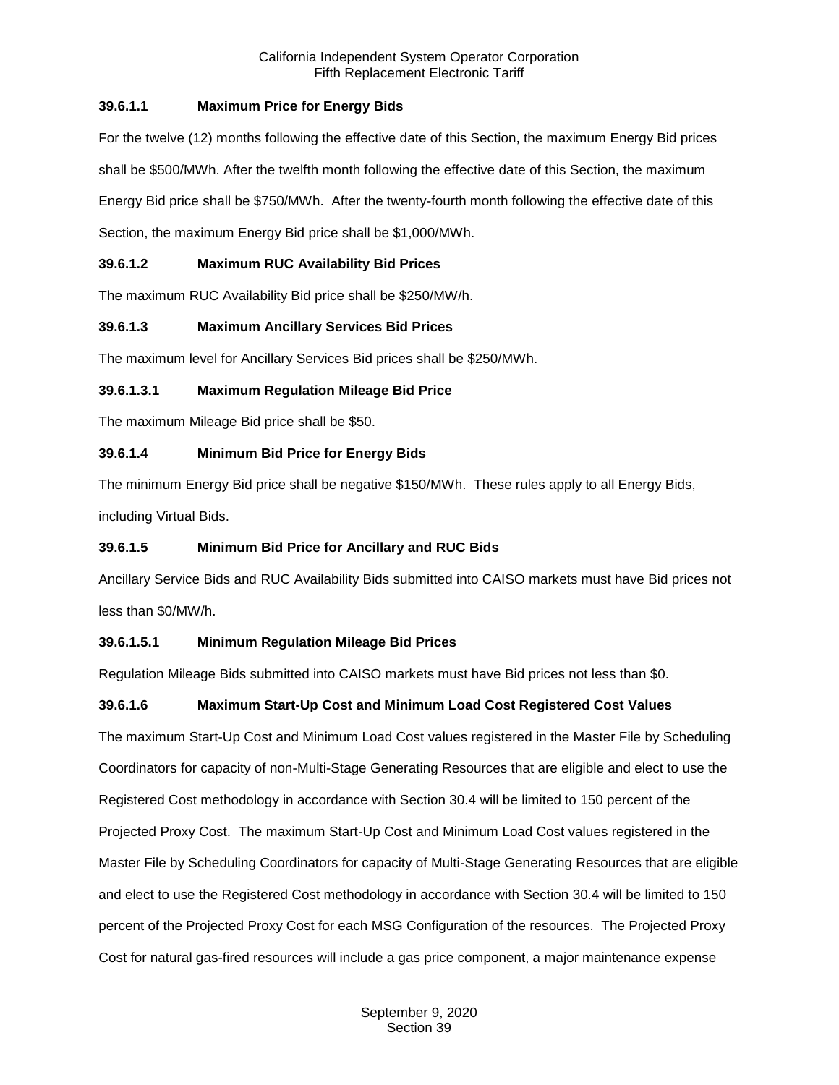## **39.6.1.1 Maximum Price for Energy Bids**

For the twelve (12) months following the effective date of this Section, the maximum Energy Bid prices shall be \$500/MWh. After the twelfth month following the effective date of this Section, the maximum Energy Bid price shall be \$750/MWh. After the twenty-fourth month following the effective date of this Section, the maximum Energy Bid price shall be \$1,000/MWh.

## **39.6.1.2 Maximum RUC Availability Bid Prices**

The maximum RUC Availability Bid price shall be \$250/MW/h.

## **39.6.1.3 Maximum Ancillary Services Bid Prices**

The maximum level for Ancillary Services Bid prices shall be \$250/MWh.

## **39.6.1.3.1 Maximum Regulation Mileage Bid Price**

The maximum Mileage Bid price shall be \$50.

## **39.6.1.4 Minimum Bid Price for Energy Bids**

The minimum Energy Bid price shall be negative \$150/MWh. These rules apply to all Energy Bids, including Virtual Bids.

## **39.6.1.5 Minimum Bid Price for Ancillary and RUC Bids**

Ancillary Service Bids and RUC Availability Bids submitted into CAISO markets must have Bid prices not less than \$0/MW/h.

## **39.6.1.5.1 Minimum Regulation Mileage Bid Prices**

Regulation Mileage Bids submitted into CAISO markets must have Bid prices not less than \$0.

# **39.6.1.6 Maximum Start-Up Cost and Minimum Load Cost Registered Cost Values**

The maximum Start-Up Cost and Minimum Load Cost values registered in the Master File by Scheduling Coordinators for capacity of non-Multi-Stage Generating Resources that are eligible and elect to use the Registered Cost methodology in accordance with Section 30.4 will be limited to 150 percent of the Projected Proxy Cost. The maximum Start-Up Cost and Minimum Load Cost values registered in the Master File by Scheduling Coordinators for capacity of Multi-Stage Generating Resources that are eligible and elect to use the Registered Cost methodology in accordance with Section 30.4 will be limited to 150 percent of the Projected Proxy Cost for each MSG Configuration of the resources. The Projected Proxy Cost for natural gas-fired resources will include a gas price component, a major maintenance expense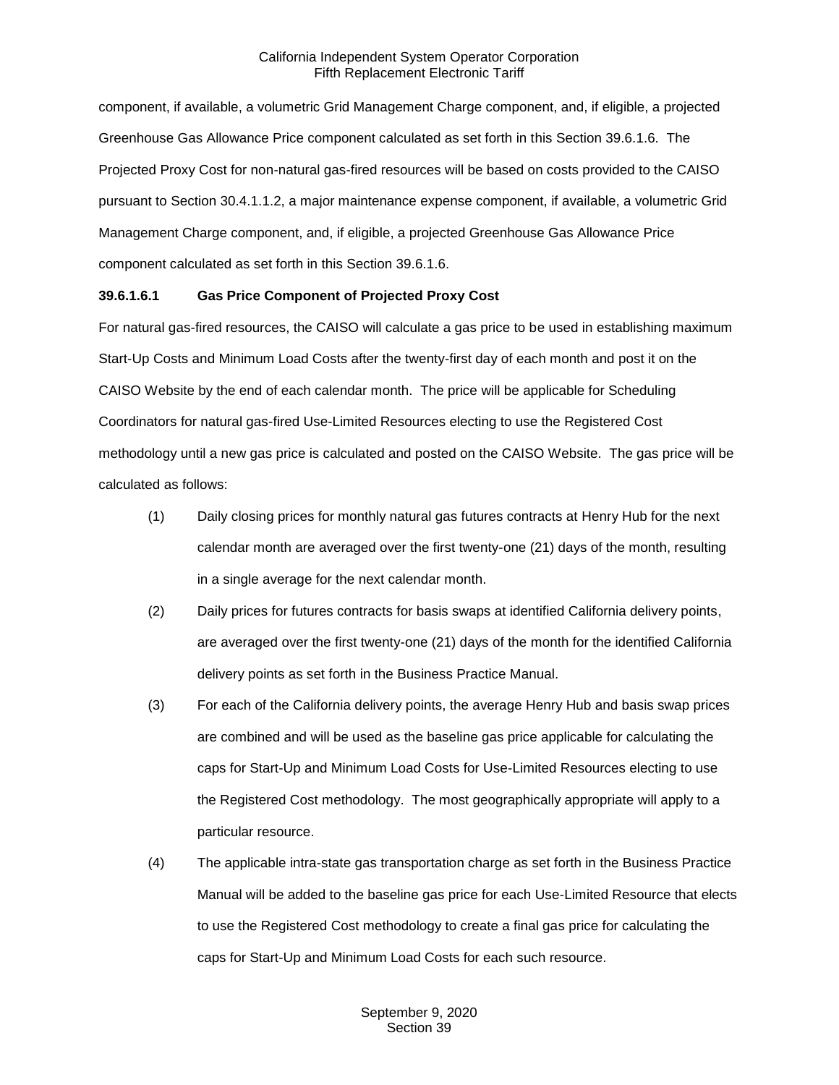component, if available, a volumetric Grid Management Charge component, and, if eligible, a projected Greenhouse Gas Allowance Price component calculated as set forth in this Section 39.6.1.6. The Projected Proxy Cost for non-natural gas-fired resources will be based on costs provided to the CAISO pursuant to Section 30.4.1.1.2, a major maintenance expense component, if available, a volumetric Grid Management Charge component, and, if eligible, a projected Greenhouse Gas Allowance Price component calculated as set forth in this Section 39.6.1.6.

## **39.6.1.6.1 Gas Price Component of Projected Proxy Cost**

For natural gas-fired resources, the CAISO will calculate a gas price to be used in establishing maximum Start-Up Costs and Minimum Load Costs after the twenty-first day of each month and post it on the CAISO Website by the end of each calendar month. The price will be applicable for Scheduling Coordinators for natural gas-fired Use-Limited Resources electing to use the Registered Cost methodology until a new gas price is calculated and posted on the CAISO Website. The gas price will be calculated as follows:

- (1) Daily closing prices for monthly natural gas futures contracts at Henry Hub for the next calendar month are averaged over the first twenty-one (21) days of the month, resulting in a single average for the next calendar month.
- (2) Daily prices for futures contracts for basis swaps at identified California delivery points, are averaged over the first twenty-one (21) days of the month for the identified California delivery points as set forth in the Business Practice Manual.
- (3) For each of the California delivery points, the average Henry Hub and basis swap prices are combined and will be used as the baseline gas price applicable for calculating the caps for Start-Up and Minimum Load Costs for Use-Limited Resources electing to use the Registered Cost methodology. The most geographically appropriate will apply to a particular resource.
- (4) The applicable intra-state gas transportation charge as set forth in the Business Practice Manual will be added to the baseline gas price for each Use-Limited Resource that elects to use the Registered Cost methodology to create a final gas price for calculating the caps for Start-Up and Minimum Load Costs for each such resource.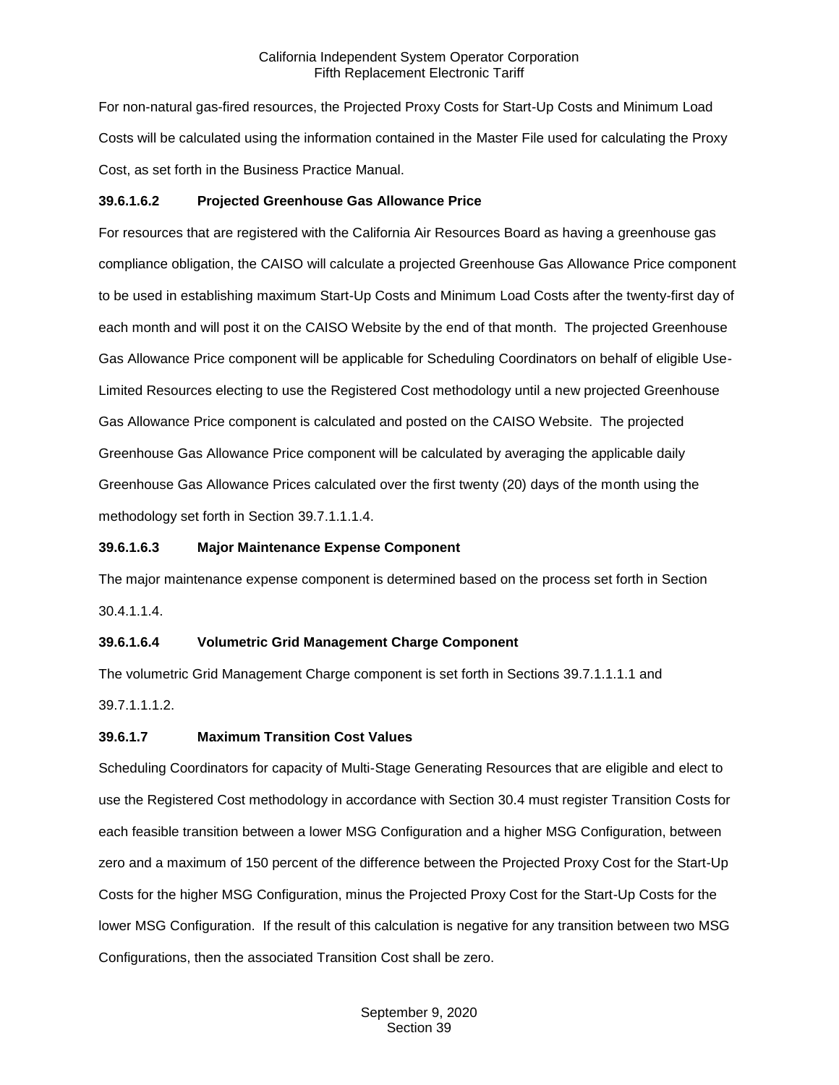For non-natural gas-fired resources, the Projected Proxy Costs for Start-Up Costs and Minimum Load Costs will be calculated using the information contained in the Master File used for calculating the Proxy Cost, as set forth in the Business Practice Manual.

## **39.6.1.6.2 Projected Greenhouse Gas Allowance Price**

For resources that are registered with the California Air Resources Board as having a greenhouse gas compliance obligation, the CAISO will calculate a projected Greenhouse Gas Allowance Price component to be used in establishing maximum Start-Up Costs and Minimum Load Costs after the twenty-first day of each month and will post it on the CAISO Website by the end of that month. The projected Greenhouse Gas Allowance Price component will be applicable for Scheduling Coordinators on behalf of eligible Use-Limited Resources electing to use the Registered Cost methodology until a new projected Greenhouse Gas Allowance Price component is calculated and posted on the CAISO Website. The projected Greenhouse Gas Allowance Price component will be calculated by averaging the applicable daily Greenhouse Gas Allowance Prices calculated over the first twenty (20) days of the month using the methodology set forth in Section 39.7.1.1.1.4.

#### **39.6.1.6.3 Major Maintenance Expense Component**

The major maintenance expense component is determined based on the process set forth in Section 30.4.1.1.4.

## **39.6.1.6.4 Volumetric Grid Management Charge Component**

The volumetric Grid Management Charge component is set forth in Sections 39.7.1.1.1.1 and 39.7.1.1.1.2.

## **39.6.1.7 Maximum Transition Cost Values**

Scheduling Coordinators for capacity of Multi-Stage Generating Resources that are eligible and elect to use the Registered Cost methodology in accordance with Section 30.4 must register Transition Costs for each feasible transition between a lower MSG Configuration and a higher MSG Configuration, between zero and a maximum of 150 percent of the difference between the Projected Proxy Cost for the Start-Up Costs for the higher MSG Configuration, minus the Projected Proxy Cost for the Start-Up Costs for the lower MSG Configuration. If the result of this calculation is negative for any transition between two MSG Configurations, then the associated Transition Cost shall be zero.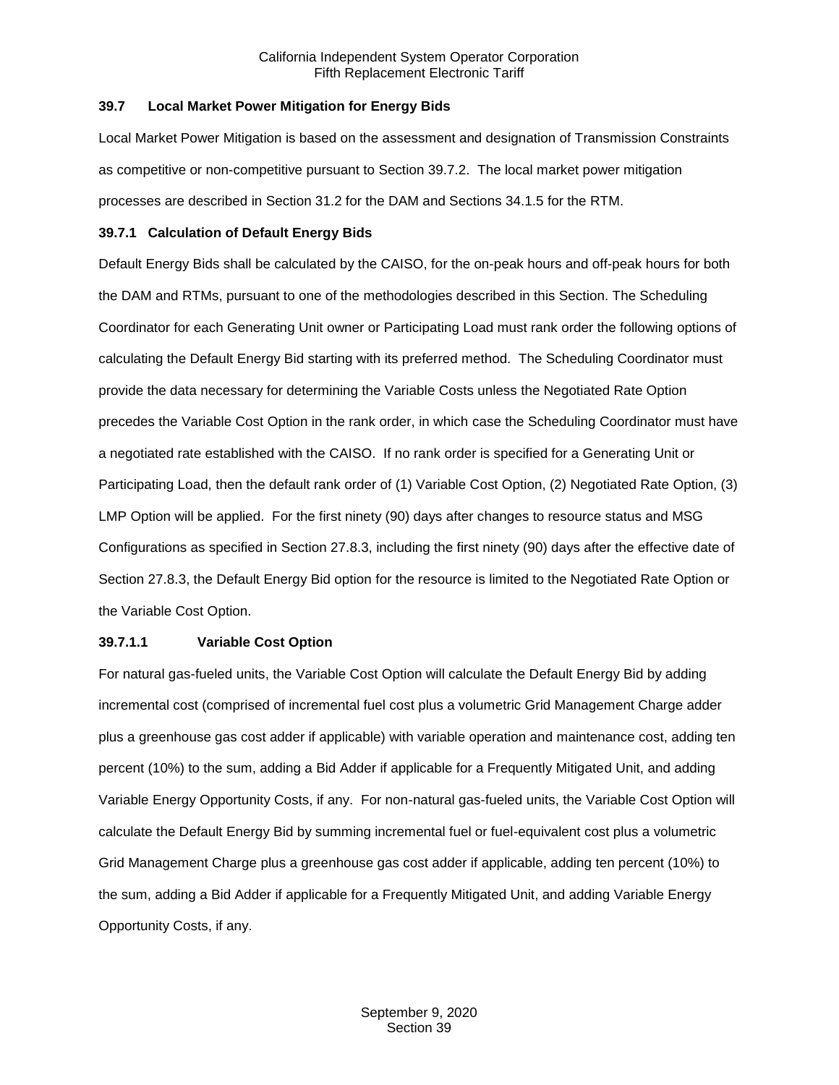#### <span id="page-7-0"></span>**39.7 Local Market Power Mitigation for Energy Bids**

Local Market Power Mitigation is based on the assessment and designation of Transmission Constraints as competitive or non-competitive pursuant to Section 39.7.2. The local market power mitigation processes are described in Section 31.2 for the DAM and Sections 34.1.5 for the RTM.

#### <span id="page-7-1"></span>**39.7.1 Calculation of Default Energy Bids**

Default Energy Bids shall be calculated by the CAISO, for the on-peak hours and off-peak hours for both the DAM and RTMs, pursuant to one of the methodologies described in this Section. The Scheduling Coordinator for each Generating Unit owner or Participating Load must rank order the following options of calculating the Default Energy Bid starting with its preferred method. The Scheduling Coordinator must provide the data necessary for determining the Variable Costs unless the Negotiated Rate Option precedes the Variable Cost Option in the rank order, in which case the Scheduling Coordinator must have a negotiated rate established with the CAISO. If no rank order is specified for a Generating Unit or Participating Load, then the default rank order of (1) Variable Cost Option, (2) Negotiated Rate Option, (3) LMP Option will be applied. For the first ninety (90) days after changes to resource status and MSG Configurations as specified in Section 27.8.3, including the first ninety (90) days after the effective date of Section 27.8.3, the Default Energy Bid option for the resource is limited to the Negotiated Rate Option or the Variable Cost Option.

## **39.7.1.1 Variable Cost Option**

For natural gas-fueled units, the Variable Cost Option will calculate the Default Energy Bid by adding incremental cost (comprised of incremental fuel cost plus a volumetric Grid Management Charge adder plus a greenhouse gas cost adder if applicable) with variable operation and maintenance cost, adding ten percent (10%) to the sum, adding a Bid Adder if applicable for a Frequently Mitigated Unit, and adding Variable Energy Opportunity Costs, if any. For non-natural gas-fueled units, the Variable Cost Option will calculate the Default Energy Bid by summing incremental fuel or fuel-equivalent cost plus a volumetric Grid Management Charge plus a greenhouse gas cost adder if applicable, adding ten percent (10%) to the sum, adding a Bid Adder if applicable for a Frequently Mitigated Unit, and adding Variable Energy Opportunity Costs, if any.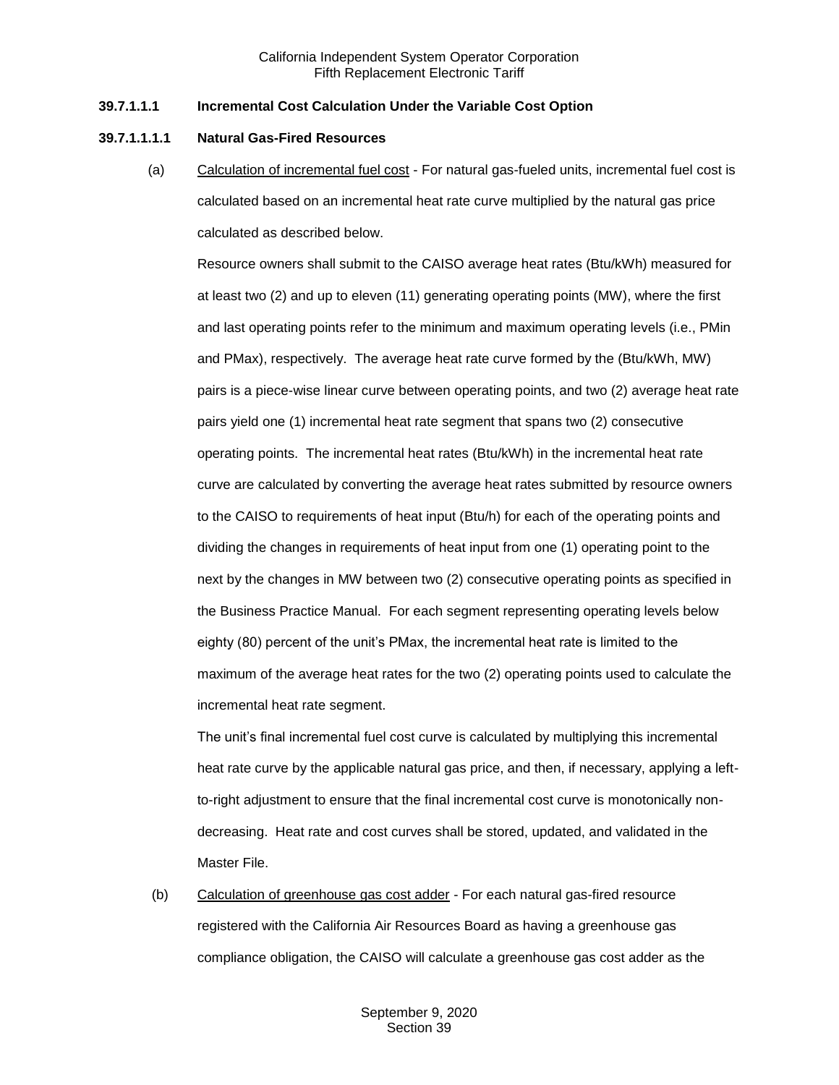#### **39.7.1.1.1 Incremental Cost Calculation Under the Variable Cost Option**

#### **39.7.1.1.1.1 Natural Gas-Fired Resources**

(a) Calculation of incremental fuel cost - For natural gas-fueled units, incremental fuel cost is calculated based on an incremental heat rate curve multiplied by the natural gas price calculated as described below.

Resource owners shall submit to the CAISO average heat rates (Btu/kWh) measured for at least two (2) and up to eleven (11) generating operating points (MW), where the first and last operating points refer to the minimum and maximum operating levels (i.e., PMin and PMax), respectively. The average heat rate curve formed by the (Btu/kWh, MW) pairs is a piece-wise linear curve between operating points, and two (2) average heat rate pairs yield one (1) incremental heat rate segment that spans two (2) consecutive operating points. The incremental heat rates (Btu/kWh) in the incremental heat rate curve are calculated by converting the average heat rates submitted by resource owners to the CAISO to requirements of heat input (Btu/h) for each of the operating points and dividing the changes in requirements of heat input from one (1) operating point to the next by the changes in MW between two (2) consecutive operating points as specified in the Business Practice Manual. For each segment representing operating levels below eighty (80) percent of the unit's PMax, the incremental heat rate is limited to the maximum of the average heat rates for the two (2) operating points used to calculate the incremental heat rate segment.

The unit's final incremental fuel cost curve is calculated by multiplying this incremental heat rate curve by the applicable natural gas price, and then, if necessary, applying a leftto-right adjustment to ensure that the final incremental cost curve is monotonically nondecreasing. Heat rate and cost curves shall be stored, updated, and validated in the Master File.

(b) Calculation of greenhouse gas cost adder - For each natural gas-fired resource registered with the California Air Resources Board as having a greenhouse gas compliance obligation, the CAISO will calculate a greenhouse gas cost adder as the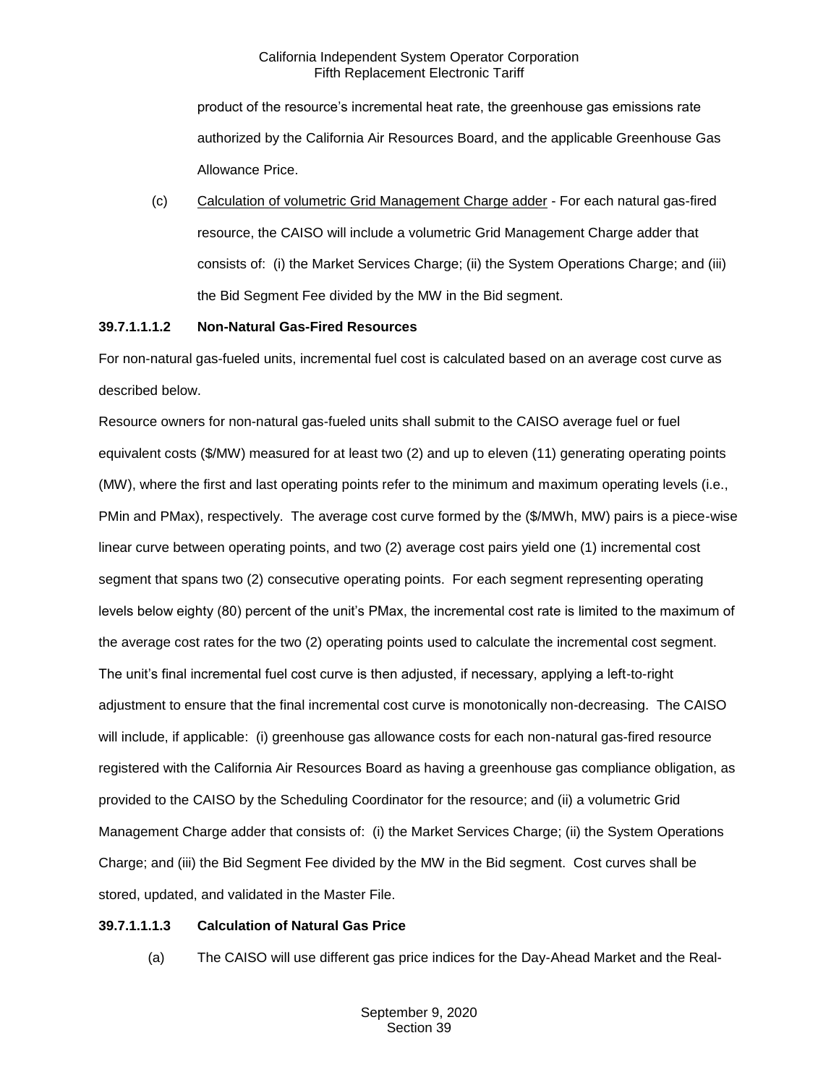product of the resource's incremental heat rate, the greenhouse gas emissions rate authorized by the California Air Resources Board, and the applicable Greenhouse Gas Allowance Price.

(c) Calculation of volumetric Grid Management Charge adder - For each natural gas-fired resource, the CAISO will include a volumetric Grid Management Charge adder that consists of: (i) the Market Services Charge; (ii) the System Operations Charge; and (iii) the Bid Segment Fee divided by the MW in the Bid segment.

## **39.7.1.1.1.2 Non-Natural Gas-Fired Resources**

For non-natural gas-fueled units, incremental fuel cost is calculated based on an average cost curve as described below.

Resource owners for non-natural gas-fueled units shall submit to the CAISO average fuel or fuel equivalent costs (\$/MW) measured for at least two (2) and up to eleven (11) generating operating points (MW), where the first and last operating points refer to the minimum and maximum operating levels (i.e., PMin and PMax), respectively. The average cost curve formed by the (\$/MWh, MW) pairs is a piece-wise linear curve between operating points, and two (2) average cost pairs yield one (1) incremental cost segment that spans two (2) consecutive operating points. For each segment representing operating levels below eighty (80) percent of the unit's PMax, the incremental cost rate is limited to the maximum of the average cost rates for the two (2) operating points used to calculate the incremental cost segment. The unit's final incremental fuel cost curve is then adjusted, if necessary, applying a left-to-right adjustment to ensure that the final incremental cost curve is monotonically non-decreasing. The CAISO will include, if applicable: (i) greenhouse gas allowance costs for each non-natural gas-fired resource registered with the California Air Resources Board as having a greenhouse gas compliance obligation, as provided to the CAISO by the Scheduling Coordinator for the resource; and (ii) a volumetric Grid Management Charge adder that consists of: (i) the Market Services Charge; (ii) the System Operations Charge; and (iii) the Bid Segment Fee divided by the MW in the Bid segment. Cost curves shall be stored, updated, and validated in the Master File.

## **39.7.1.1.1.3 Calculation of Natural Gas Price**

(a) The CAISO will use different gas price indices for the Day-Ahead Market and the Real-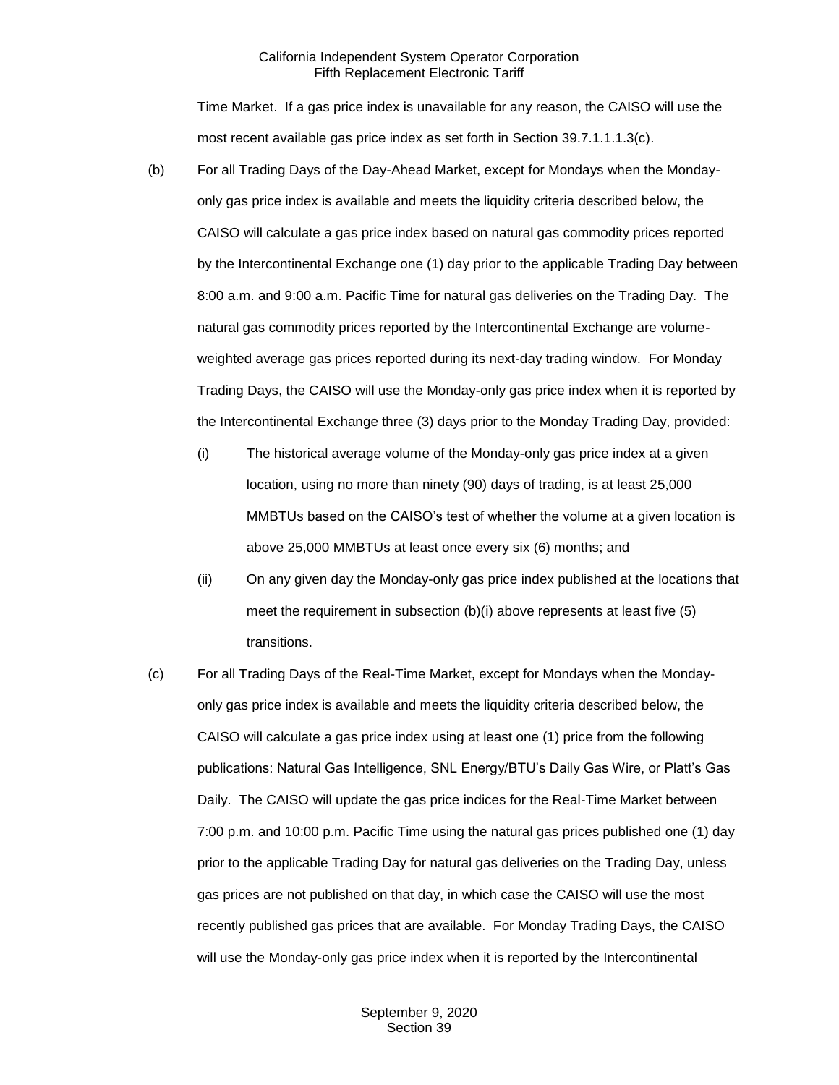Time Market. If a gas price index is unavailable for any reason, the CAISO will use the most recent available gas price index as set forth in Section 39.7.1.1.1.3(c).

- (b) For all Trading Days of the Day-Ahead Market, except for Mondays when the Mondayonly gas price index is available and meets the liquidity criteria described below, the CAISO will calculate a gas price index based on natural gas commodity prices reported by the Intercontinental Exchange one (1) day prior to the applicable Trading Day between 8:00 a.m. and 9:00 a.m. Pacific Time for natural gas deliveries on the Trading Day. The natural gas commodity prices reported by the Intercontinental Exchange are volumeweighted average gas prices reported during its next-day trading window. For Monday Trading Days, the CAISO will use the Monday-only gas price index when it is reported by the Intercontinental Exchange three (3) days prior to the Monday Trading Day, provided:
	- (i) The historical average volume of the Monday-only gas price index at a given location, using no more than ninety (90) days of trading, is at least 25,000 MMBTUs based on the CAISO's test of whether the volume at a given location is above 25,000 MMBTUs at least once every six (6) months; and
	- (ii) On any given day the Monday-only gas price index published at the locations that meet the requirement in subsection (b)(i) above represents at least five (5) transitions.
- (c) For all Trading Days of the Real-Time Market, except for Mondays when the Mondayonly gas price index is available and meets the liquidity criteria described below, the CAISO will calculate a gas price index using at least one (1) price from the following publications: Natural Gas Intelligence, SNL Energy/BTU's Daily Gas Wire, or Platt's Gas Daily. The CAISO will update the gas price indices for the Real-Time Market between 7:00 p.m. and 10:00 p.m. Pacific Time using the natural gas prices published one (1) day prior to the applicable Trading Day for natural gas deliveries on the Trading Day, unless gas prices are not published on that day, in which case the CAISO will use the most recently published gas prices that are available. For Monday Trading Days, the CAISO will use the Monday-only gas price index when it is reported by the Intercontinental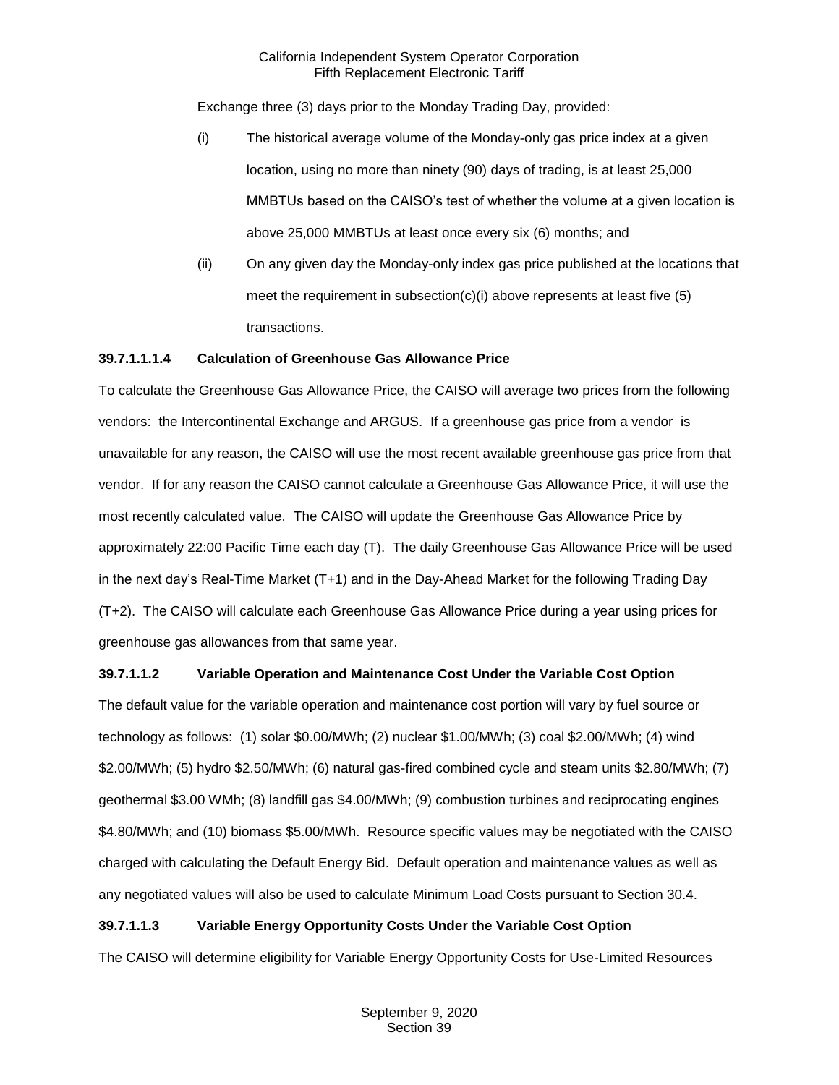Exchange three (3) days prior to the Monday Trading Day, provided:

- (i) The historical average volume of the Monday-only gas price index at a given location, using no more than ninety (90) days of trading, is at least 25,000 MMBTUs based on the CAISO's test of whether the volume at a given location is above 25,000 MMBTUs at least once every six (6) months; and
- (ii) On any given day the Monday-only index gas price published at the locations that meet the requirement in subsection(c)(i) above represents at least five (5) transactions.

## **39.7.1.1.1.4 Calculation of Greenhouse Gas Allowance Price**

To calculate the Greenhouse Gas Allowance Price, the CAISO will average two prices from the following vendors: the Intercontinental Exchange and ARGUS. If a greenhouse gas price from a vendor is unavailable for any reason, the CAISO will use the most recent available greenhouse gas price from that vendor. If for any reason the CAISO cannot calculate a Greenhouse Gas Allowance Price, it will use the most recently calculated value. The CAISO will update the Greenhouse Gas Allowance Price by approximately 22:00 Pacific Time each day (T). The daily Greenhouse Gas Allowance Price will be used in the next day's Real-Time Market (T+1) and in the Day-Ahead Market for the following Trading Day (T+2). The CAISO will calculate each Greenhouse Gas Allowance Price during a year using prices for greenhouse gas allowances from that same year.

# **39.7.1.1.2 Variable Operation and Maintenance Cost Under the Variable Cost Option**

The default value for the variable operation and maintenance cost portion will vary by fuel source or technology as follows: (1) solar \$0.00/MWh; (2) nuclear \$1.00/MWh; (3) coal \$2.00/MWh; (4) wind \$2.00/MWh; (5) hydro \$2.50/MWh; (6) natural gas-fired combined cycle and steam units \$2.80/MWh; (7) geothermal \$3.00 WMh; (8) landfill gas \$4.00/MWh; (9) combustion turbines and reciprocating engines \$4.80/MWh; and (10) biomass \$5.00/MWh. Resource specific values may be negotiated with the CAISO charged with calculating the Default Energy Bid. Default operation and maintenance values as well as any negotiated values will also be used to calculate Minimum Load Costs pursuant to Section 30.4.

# **39.7.1.1.3 Variable Energy Opportunity Costs Under the Variable Cost Option**

The CAISO will determine eligibility for Variable Energy Opportunity Costs for Use-Limited Resources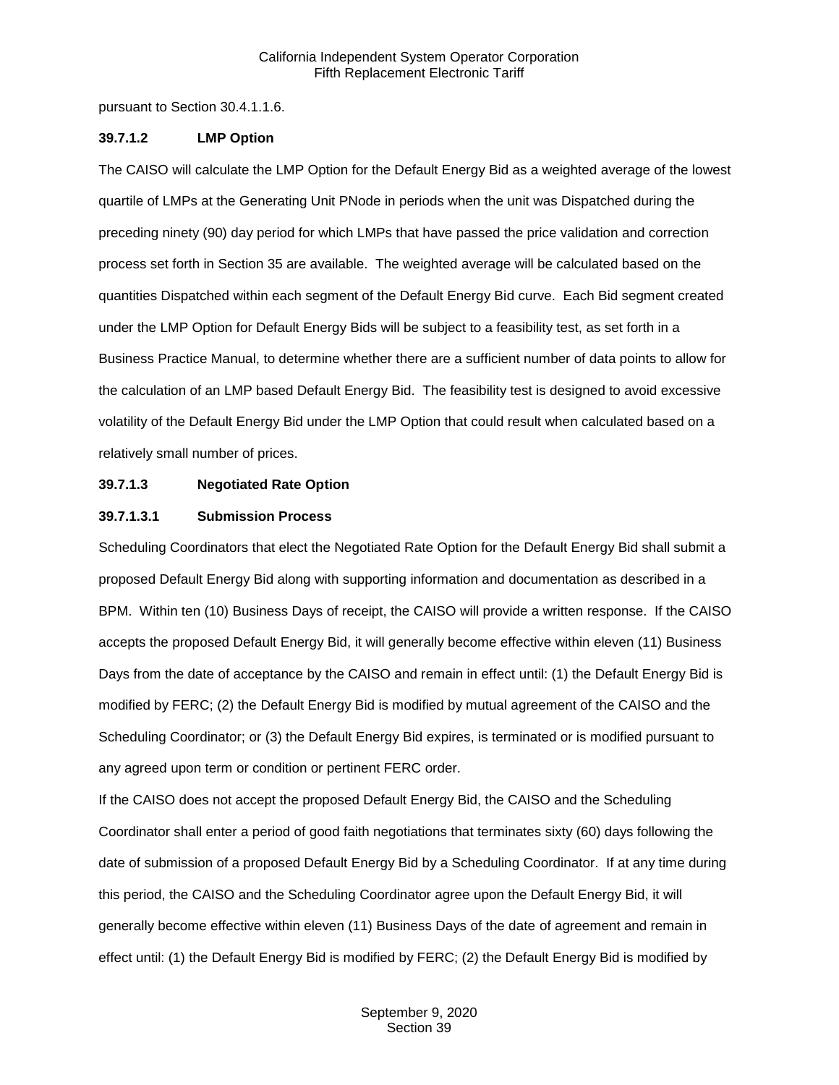pursuant to Section 30.4.1.1.6.

#### **39.7.1.2 LMP Option**

The CAISO will calculate the LMP Option for the Default Energy Bid as a weighted average of the lowest quartile of LMPs at the Generating Unit PNode in periods when the unit was Dispatched during the preceding ninety (90) day period for which LMPs that have passed the price validation and correction process set forth in Section 35 are available. The weighted average will be calculated based on the quantities Dispatched within each segment of the Default Energy Bid curve. Each Bid segment created under the LMP Option for Default Energy Bids will be subject to a feasibility test, as set forth in a Business Practice Manual, to determine whether there are a sufficient number of data points to allow for the calculation of an LMP based Default Energy Bid. The feasibility test is designed to avoid excessive volatility of the Default Energy Bid under the LMP Option that could result when calculated based on a relatively small number of prices.

#### **39.7.1.3 Negotiated Rate Option**

#### **39.7.1.3.1 Submission Process**

Scheduling Coordinators that elect the Negotiated Rate Option for the Default Energy Bid shall submit a proposed Default Energy Bid along with supporting information and documentation as described in a BPM. Within ten (10) Business Days of receipt, the CAISO will provide a written response. If the CAISO accepts the proposed Default Energy Bid, it will generally become effective within eleven (11) Business Days from the date of acceptance by the CAISO and remain in effect until: (1) the Default Energy Bid is modified by FERC; (2) the Default Energy Bid is modified by mutual agreement of the CAISO and the Scheduling Coordinator; or (3) the Default Energy Bid expires, is terminated or is modified pursuant to any agreed upon term or condition or pertinent FERC order.

If the CAISO does not accept the proposed Default Energy Bid, the CAISO and the Scheduling Coordinator shall enter a period of good faith negotiations that terminates sixty (60) days following the date of submission of a proposed Default Energy Bid by a Scheduling Coordinator. If at any time during this period, the CAISO and the Scheduling Coordinator agree upon the Default Energy Bid, it will generally become effective within eleven (11) Business Days of the date of agreement and remain in effect until: (1) the Default Energy Bid is modified by FERC; (2) the Default Energy Bid is modified by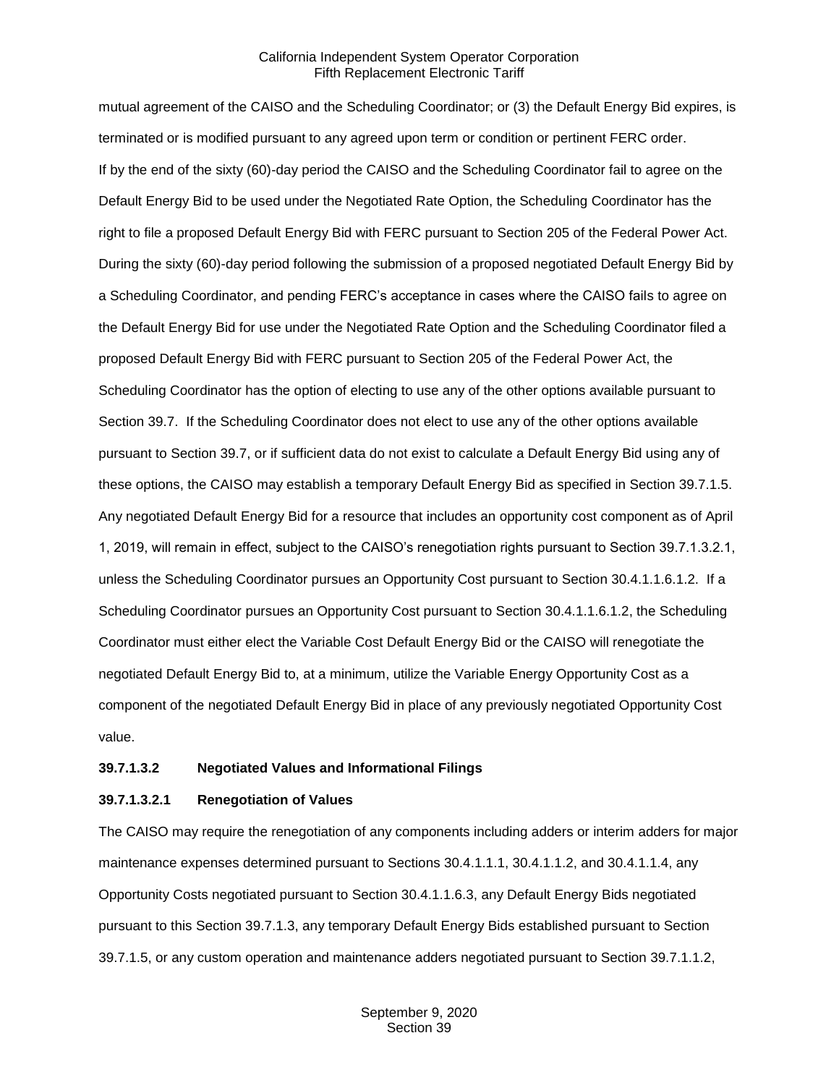mutual agreement of the CAISO and the Scheduling Coordinator; or (3) the Default Energy Bid expires, is terminated or is modified pursuant to any agreed upon term or condition or pertinent FERC order. If by the end of the sixty (60)-day period the CAISO and the Scheduling Coordinator fail to agree on the Default Energy Bid to be used under the Negotiated Rate Option, the Scheduling Coordinator has the right to file a proposed Default Energy Bid with FERC pursuant to Section 205 of the Federal Power Act. During the sixty (60)-day period following the submission of a proposed negotiated Default Energy Bid by a Scheduling Coordinator, and pending FERC's acceptance in cases where the CAISO fails to agree on the Default Energy Bid for use under the Negotiated Rate Option and the Scheduling Coordinator filed a proposed Default Energy Bid with FERC pursuant to Section 205 of the Federal Power Act, the Scheduling Coordinator has the option of electing to use any of the other options available pursuant to Section 39.7. If the Scheduling Coordinator does not elect to use any of the other options available pursuant to Section 39.7, or if sufficient data do not exist to calculate a Default Energy Bid using any of these options, the CAISO may establish a temporary Default Energy Bid as specified in Section 39.7.1.5. Any negotiated Default Energy Bid for a resource that includes an opportunity cost component as of April 1, 2019, will remain in effect, subject to the CAISO's renegotiation rights pursuant to Section 39.7.1.3.2.1, unless the Scheduling Coordinator pursues an Opportunity Cost pursuant to Section 30.4.1.1.6.1.2. If a Scheduling Coordinator pursues an Opportunity Cost pursuant to Section 30.4.1.1.6.1.2, the Scheduling Coordinator must either elect the Variable Cost Default Energy Bid or the CAISO will renegotiate the negotiated Default Energy Bid to, at a minimum, utilize the Variable Energy Opportunity Cost as a component of the negotiated Default Energy Bid in place of any previously negotiated Opportunity Cost value.

#### **39.7.1.3.2 Negotiated Values and Informational Filings**

#### **39.7.1.3.2.1 Renegotiation of Values**

The CAISO may require the renegotiation of any components including adders or interim adders for major maintenance expenses determined pursuant to Sections 30.4.1.1.1, 30.4.1.1.2, and 30.4.1.1.4, any Opportunity Costs negotiated pursuant to Section 30.4.1.1.6.3, any Default Energy Bids negotiated pursuant to this Section 39.7.1.3, any temporary Default Energy Bids established pursuant to Section 39.7.1.5, or any custom operation and maintenance adders negotiated pursuant to Section 39.7.1.1.2,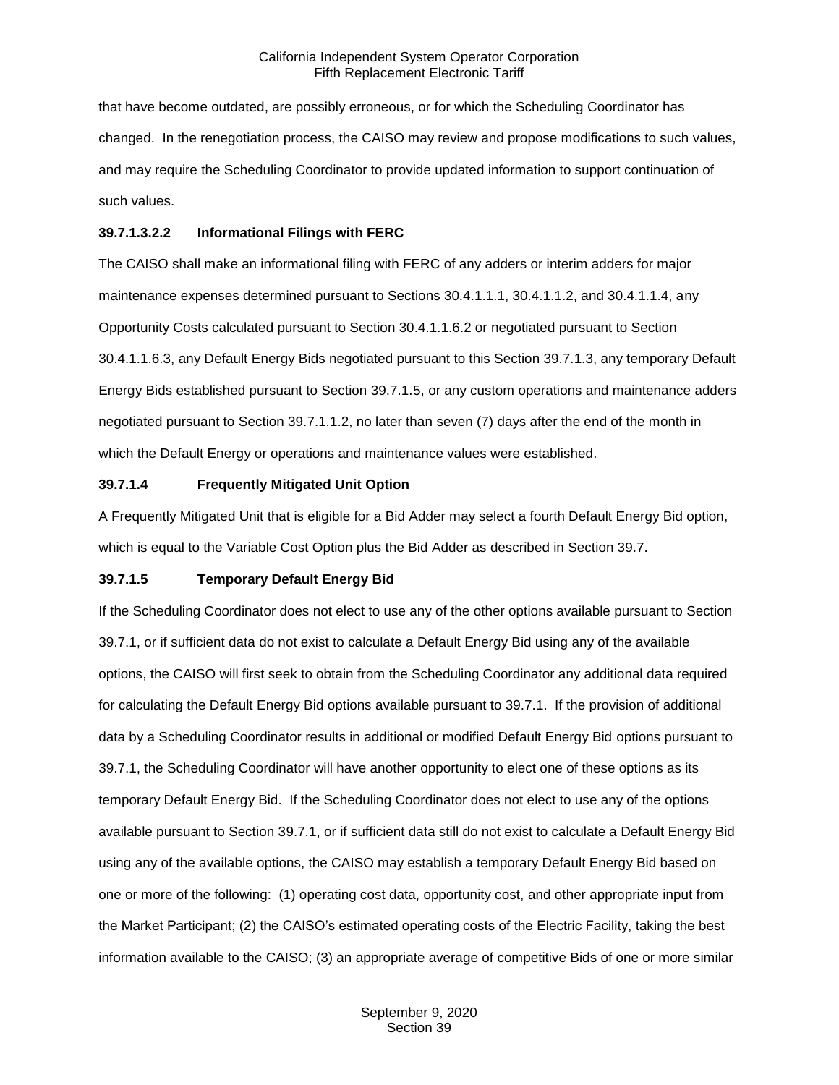that have become outdated, are possibly erroneous, or for which the Scheduling Coordinator has changed. In the renegotiation process, the CAISO may review and propose modifications to such values, and may require the Scheduling Coordinator to provide updated information to support continuation of such values.

#### **39.7.1.3.2.2 Informational Filings with FERC**

The CAISO shall make an informational filing with FERC of any adders or interim adders for major maintenance expenses determined pursuant to Sections 30.4.1.1.1, 30.4.1.1.2, and 30.4.1.1.4, any Opportunity Costs calculated pursuant to Section 30.4.1.1.6.2 or negotiated pursuant to Section 30.4.1.1.6.3, any Default Energy Bids negotiated pursuant to this Section 39.7.1.3, any temporary Default Energy Bids established pursuant to Section 39.7.1.5, or any custom operations and maintenance adders negotiated pursuant to Section 39.7.1.1.2, no later than seven (7) days after the end of the month in which the Default Energy or operations and maintenance values were established.

#### **39.7.1.4 Frequently Mitigated Unit Option**

A Frequently Mitigated Unit that is eligible for a Bid Adder may select a fourth Default Energy Bid option, which is equal to the Variable Cost Option plus the Bid Adder as described in Section 39.7.

## **39.7.1.5 Temporary Default Energy Bid**

If the Scheduling Coordinator does not elect to use any of the other options available pursuant to Section 39.7.1, or if sufficient data do not exist to calculate a Default Energy Bid using any of the available options, the CAISO will first seek to obtain from the Scheduling Coordinator any additional data required for calculating the Default Energy Bid options available pursuant to 39.7.1. If the provision of additional data by a Scheduling Coordinator results in additional or modified Default Energy Bid options pursuant to 39.7.1, the Scheduling Coordinator will have another opportunity to elect one of these options as its temporary Default Energy Bid. If the Scheduling Coordinator does not elect to use any of the options available pursuant to Section 39.7.1, or if sufficient data still do not exist to calculate a Default Energy Bid using any of the available options, the CAISO may establish a temporary Default Energy Bid based on one or more of the following: (1) operating cost data, opportunity cost, and other appropriate input from the Market Participant; (2) the CAISO's estimated operating costs of the Electric Facility, taking the best information available to the CAISO; (3) an appropriate average of competitive Bids of one or more similar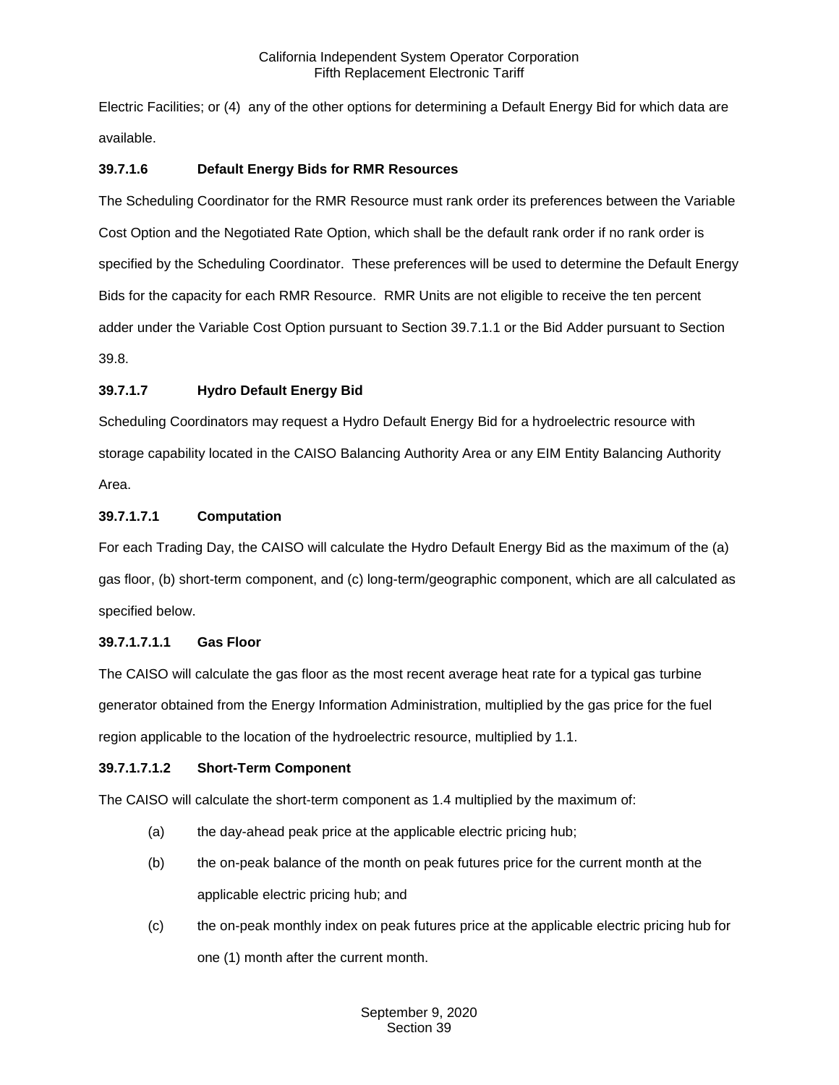Electric Facilities; or (4) any of the other options for determining a Default Energy Bid for which data are available.

## **39.7.1.6 Default Energy Bids for RMR Resources**

The Scheduling Coordinator for the RMR Resource must rank order its preferences between the Variable Cost Option and the Negotiated Rate Option, which shall be the default rank order if no rank order is specified by the Scheduling Coordinator. These preferences will be used to determine the Default Energy Bids for the capacity for each RMR Resource. RMR Units are not eligible to receive the ten percent adder under the Variable Cost Option pursuant to Section 39.7.1.1 or the Bid Adder pursuant to Section 39.8.

## **39.7.1.7 Hydro Default Energy Bid**

Scheduling Coordinators may request a Hydro Default Energy Bid for a hydroelectric resource with storage capability located in the CAISO Balancing Authority Area or any EIM Entity Balancing Authority Area.

## **39.7.1.7.1 Computation**

For each Trading Day, the CAISO will calculate the Hydro Default Energy Bid as the maximum of the (a) gas floor, (b) short-term component, and (c) long-term/geographic component, which are all calculated as specified below.

## **39.7.1.7.1.1 Gas Floor**

The CAISO will calculate the gas floor as the most recent average heat rate for a typical gas turbine generator obtained from the Energy Information Administration, multiplied by the gas price for the fuel region applicable to the location of the hydroelectric resource, multiplied by 1.1.

## **39.7.1.7.1.2 Short-Term Component**

The CAISO will calculate the short-term component as 1.4 multiplied by the maximum of:

- (a) the day-ahead peak price at the applicable electric pricing hub;
- (b) the on-peak balance of the month on peak futures price for the current month at the applicable electric pricing hub; and
- (c) the on-peak monthly index on peak futures price at the applicable electric pricing hub for one (1) month after the current month.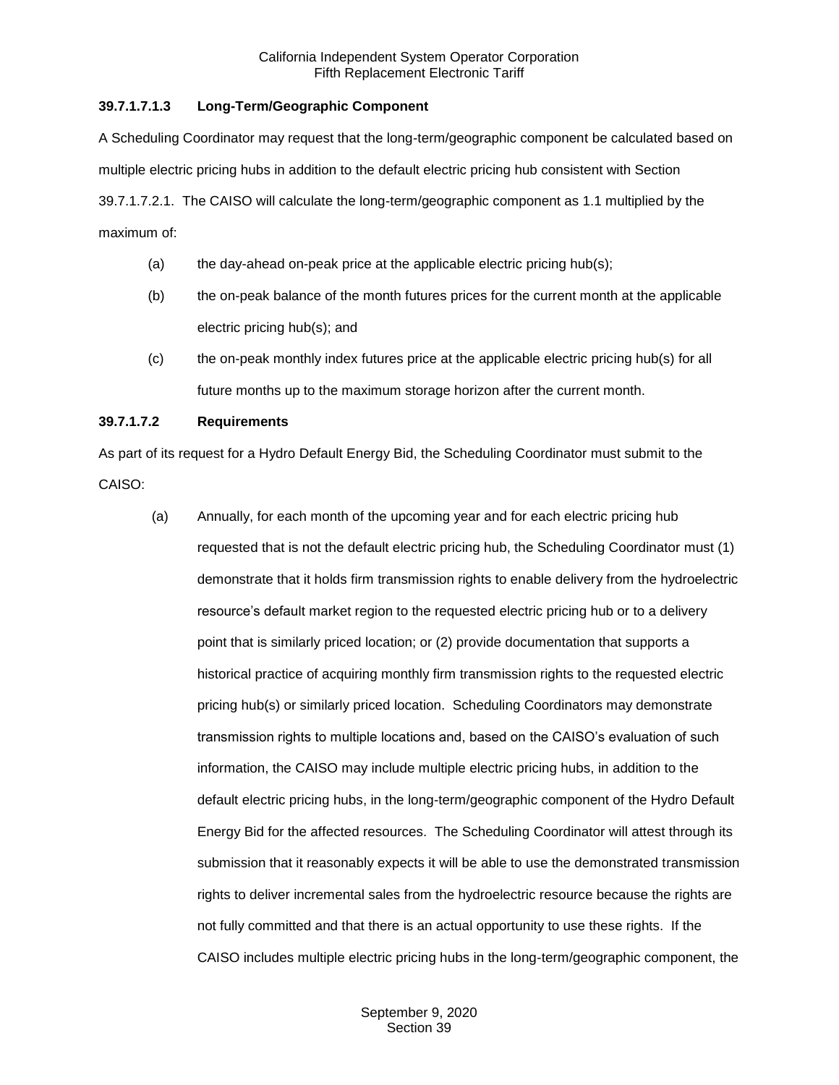## **39.7.1.7.1.3 Long-Term/Geographic Component**

A Scheduling Coordinator may request that the long-term/geographic component be calculated based on multiple electric pricing hubs in addition to the default electric pricing hub consistent with Section 39.7.1.7.2.1. The CAISO will calculate the long-term/geographic component as 1.1 multiplied by the maximum of:

- (a) the day-ahead on-peak price at the applicable electric pricing hub(s);
- (b) the on-peak balance of the month futures prices for the current month at the applicable electric pricing hub(s); and
- (c) the on-peak monthly index futures price at the applicable electric pricing hub(s) for all future months up to the maximum storage horizon after the current month.

## **39.7.1.7.2 Requirements**

As part of its request for a Hydro Default Energy Bid, the Scheduling Coordinator must submit to the CAISO:

(a) Annually, for each month of the upcoming year and for each electric pricing hub requested that is not the default electric pricing hub, the Scheduling Coordinator must (1) demonstrate that it holds firm transmission rights to enable delivery from the hydroelectric resource's default market region to the requested electric pricing hub or to a delivery point that is similarly priced location; or (2) provide documentation that supports a historical practice of acquiring monthly firm transmission rights to the requested electric pricing hub(s) or similarly priced location. Scheduling Coordinators may demonstrate transmission rights to multiple locations and, based on the CAISO's evaluation of such information, the CAISO may include multiple electric pricing hubs, in addition to the default electric pricing hubs, in the long-term/geographic component of the Hydro Default Energy Bid for the affected resources. The Scheduling Coordinator will attest through its submission that it reasonably expects it will be able to use the demonstrated transmission rights to deliver incremental sales from the hydroelectric resource because the rights are not fully committed and that there is an actual opportunity to use these rights. If the CAISO includes multiple electric pricing hubs in the long-term/geographic component, the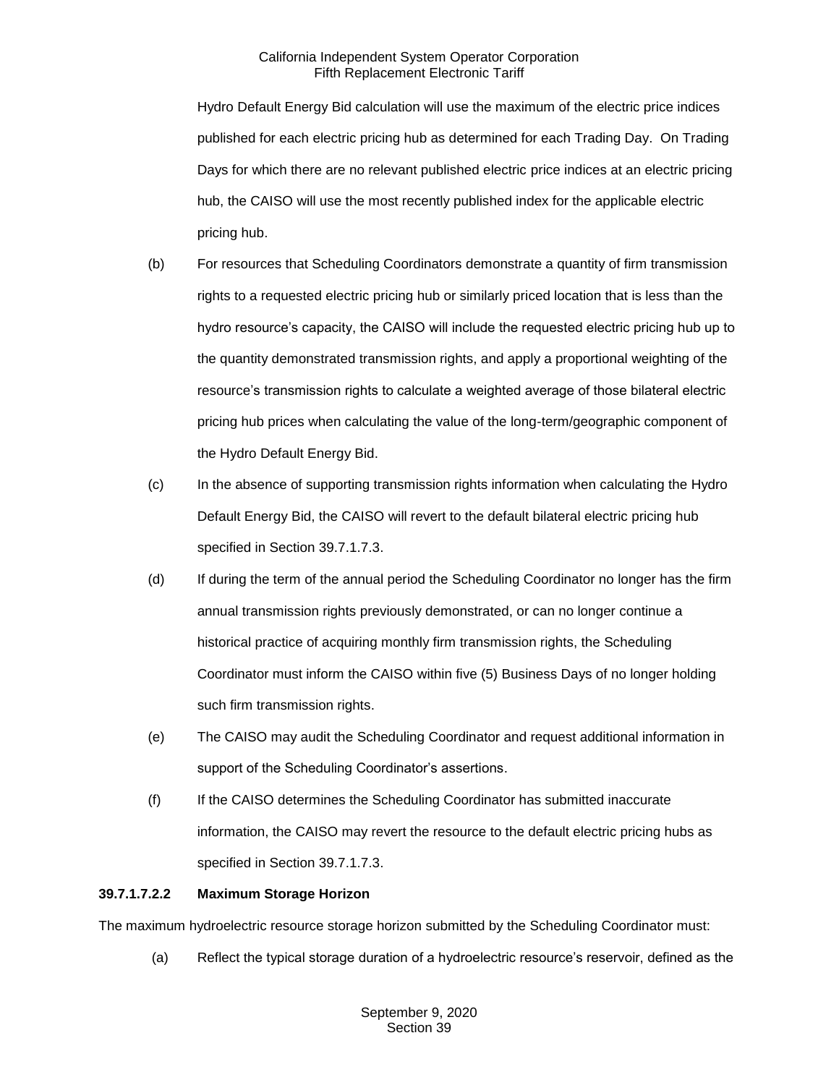Hydro Default Energy Bid calculation will use the maximum of the electric price indices published for each electric pricing hub as determined for each Trading Day. On Trading Days for which there are no relevant published electric price indices at an electric pricing hub, the CAISO will use the most recently published index for the applicable electric pricing hub.

- (b) For resources that Scheduling Coordinators demonstrate a quantity of firm transmission rights to a requested electric pricing hub or similarly priced location that is less than the hydro resource's capacity, the CAISO will include the requested electric pricing hub up to the quantity demonstrated transmission rights, and apply a proportional weighting of the resource's transmission rights to calculate a weighted average of those bilateral electric pricing hub prices when calculating the value of the long-term/geographic component of the Hydro Default Energy Bid.
- (c) In the absence of supporting transmission rights information when calculating the Hydro Default Energy Bid, the CAISO will revert to the default bilateral electric pricing hub specified in Section 39.7.1.7.3.
- (d) If during the term of the annual period the Scheduling Coordinator no longer has the firm annual transmission rights previously demonstrated, or can no longer continue a historical practice of acquiring monthly firm transmission rights, the Scheduling Coordinator must inform the CAISO within five (5) Business Days of no longer holding such firm transmission rights.
- (e) The CAISO may audit the Scheduling Coordinator and request additional information in support of the Scheduling Coordinator's assertions.
- (f) If the CAISO determines the Scheduling Coordinator has submitted inaccurate information, the CAISO may revert the resource to the default electric pricing hubs as specified in Section 39.7.1.7.3.

## **39.7.1.7.2.2 Maximum Storage Horizon**

The maximum hydroelectric resource storage horizon submitted by the Scheduling Coordinator must:

(a) Reflect the typical storage duration of a hydroelectric resource's reservoir, defined as the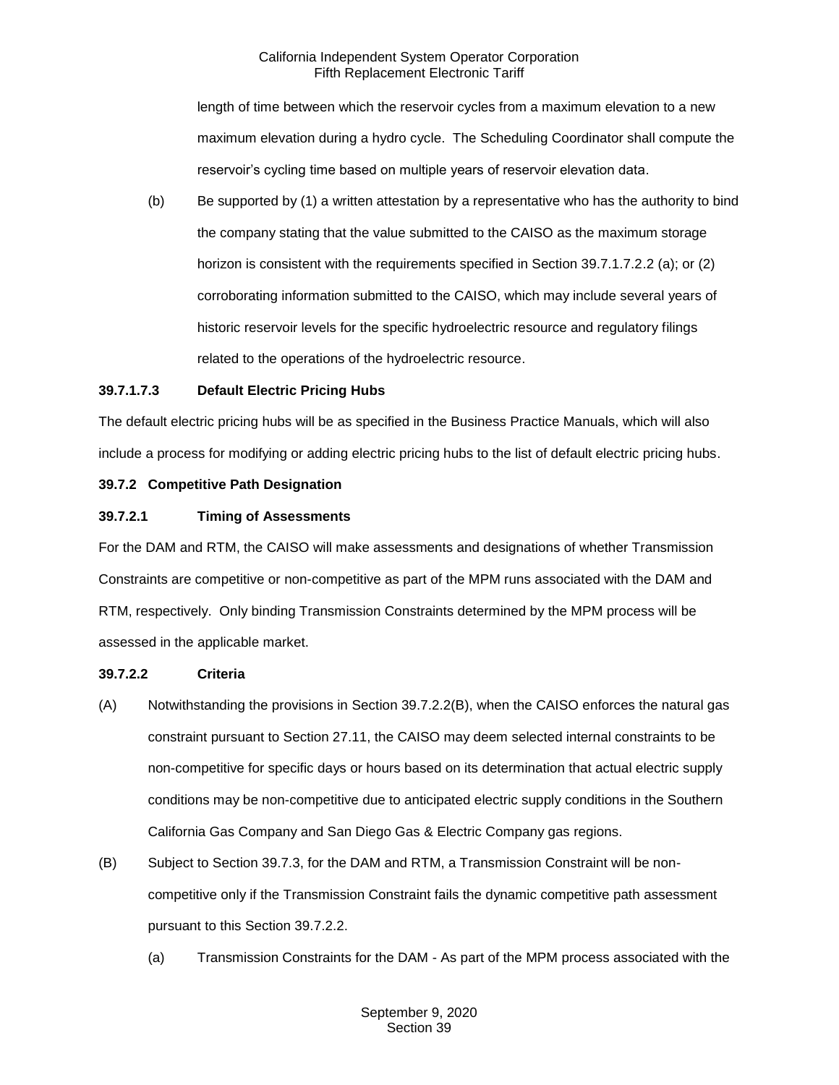length of time between which the reservoir cycles from a maximum elevation to a new maximum elevation during a hydro cycle. The Scheduling Coordinator shall compute the reservoir's cycling time based on multiple years of reservoir elevation data.

(b) Be supported by (1) a written attestation by a representative who has the authority to bind the company stating that the value submitted to the CAISO as the maximum storage horizon is consistent with the requirements specified in Section 39.7.1.7.2.2 (a); or (2) corroborating information submitted to the CAISO, which may include several years of historic reservoir levels for the specific hydroelectric resource and regulatory filings related to the operations of the hydroelectric resource.

#### **39.7.1.7.3 Default Electric Pricing Hubs**

The default electric pricing hubs will be as specified in the Business Practice Manuals, which will also include a process for modifying or adding electric pricing hubs to the list of default electric pricing hubs.

## <span id="page-18-0"></span>**39.7.2 Competitive Path Designation**

#### **39.7.2.1 Timing of Assessments**

For the DAM and RTM, the CAISO will make assessments and designations of whether Transmission Constraints are competitive or non-competitive as part of the MPM runs associated with the DAM and RTM, respectively. Only binding Transmission Constraints determined by the MPM process will be assessed in the applicable market.

#### **39.7.2.2 Criteria**

- (A) Notwithstanding the provisions in Section 39.7.2.2(B), when the CAISO enforces the natural gas constraint pursuant to Section 27.11, the CAISO may deem selected internal constraints to be non-competitive for specific days or hours based on its determination that actual electric supply conditions may be non-competitive due to anticipated electric supply conditions in the Southern California Gas Company and San Diego Gas & Electric Company gas regions.
- (B) Subject to Section 39.7.3, for the DAM and RTM, a Transmission Constraint will be noncompetitive only if the Transmission Constraint fails the dynamic competitive path assessment pursuant to this Section 39.7.2.2.
	- (a) Transmission Constraints for the DAM As part of the MPM process associated with the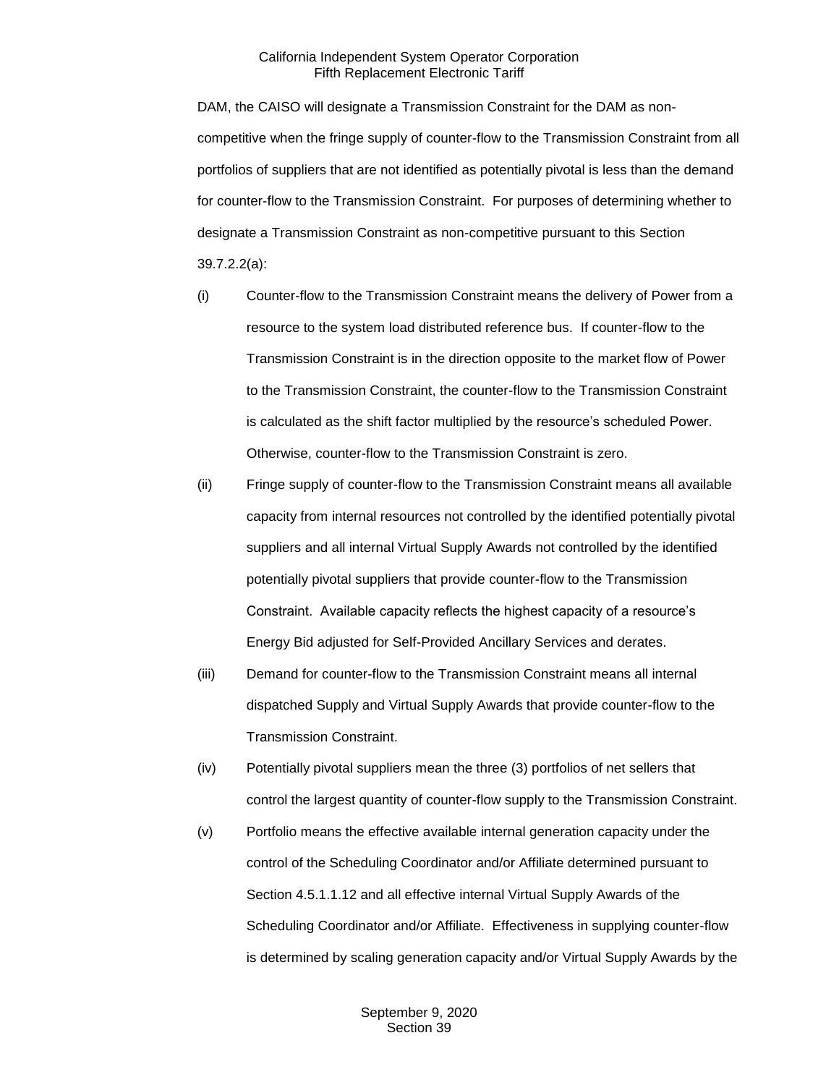DAM, the CAISO will designate a Transmission Constraint for the DAM as noncompetitive when the fringe supply of counter-flow to the Transmission Constraint from all portfolios of suppliers that are not identified as potentially pivotal is less than the demand for counter-flow to the Transmission Constraint. For purposes of determining whether to designate a Transmission Constraint as non-competitive pursuant to this Section 39.7.2.2(a):

- (i) Counter-flow to the Transmission Constraint means the delivery of Power from a resource to the system load distributed reference bus. If counter-flow to the Transmission Constraint is in the direction opposite to the market flow of Power to the Transmission Constraint, the counter-flow to the Transmission Constraint is calculated as the shift factor multiplied by the resource's scheduled Power. Otherwise, counter-flow to the Transmission Constraint is zero.
- (ii) Fringe supply of counter-flow to the Transmission Constraint means all available capacity from internal resources not controlled by the identified potentially pivotal suppliers and all internal Virtual Supply Awards not controlled by the identified potentially pivotal suppliers that provide counter-flow to the Transmission Constraint. Available capacity reflects the highest capacity of a resource's Energy Bid adjusted for Self-Provided Ancillary Services and derates.
- (iii) Demand for counter-flow to the Transmission Constraint means all internal dispatched Supply and Virtual Supply Awards that provide counter-flow to the Transmission Constraint.
- (iv) Potentially pivotal suppliers mean the three (3) portfolios of net sellers that control the largest quantity of counter-flow supply to the Transmission Constraint.
- (v) Portfolio means the effective available internal generation capacity under the control of the Scheduling Coordinator and/or Affiliate determined pursuant to Section 4.5.1.1.12 and all effective internal Virtual Supply Awards of the Scheduling Coordinator and/or Affiliate. Effectiveness in supplying counter-flow is determined by scaling generation capacity and/or Virtual Supply Awards by the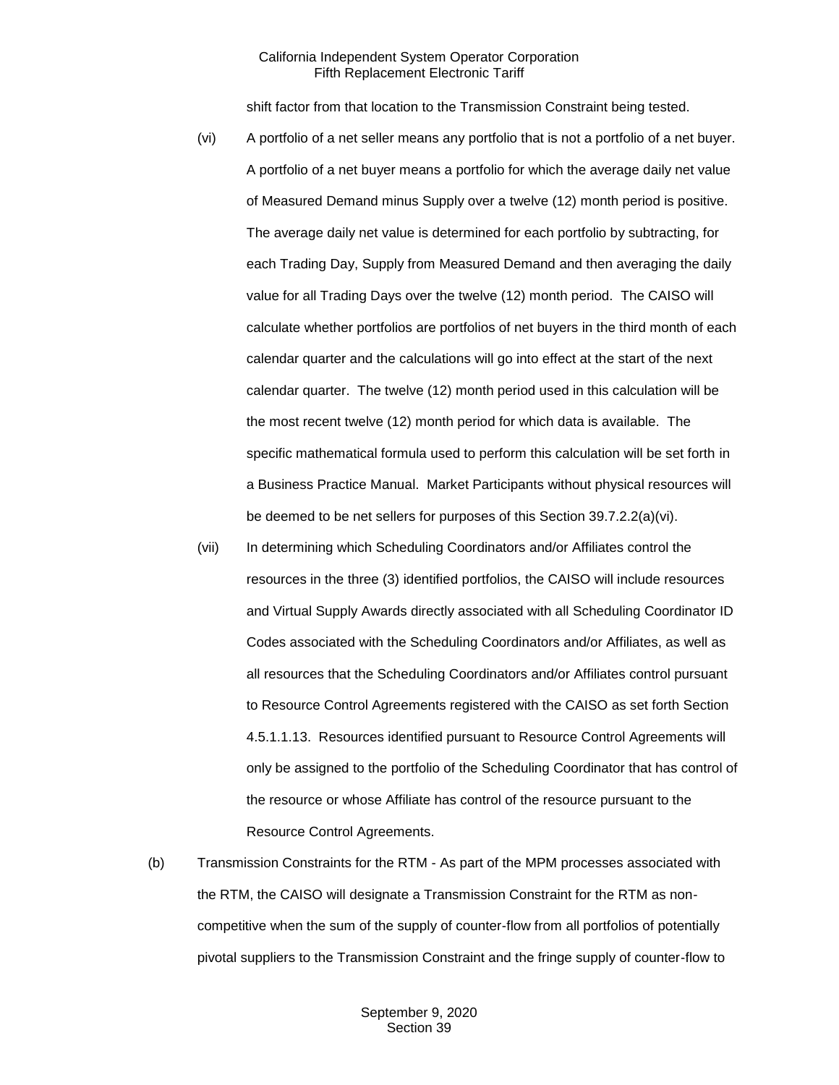shift factor from that location to the Transmission Constraint being tested.

- (vi) A portfolio of a net seller means any portfolio that is not a portfolio of a net buyer. A portfolio of a net buyer means a portfolio for which the average daily net value of Measured Demand minus Supply over a twelve (12) month period is positive. The average daily net value is determined for each portfolio by subtracting, for each Trading Day, Supply from Measured Demand and then averaging the daily value for all Trading Days over the twelve (12) month period. The CAISO will calculate whether portfolios are portfolios of net buyers in the third month of each calendar quarter and the calculations will go into effect at the start of the next calendar quarter. The twelve (12) month period used in this calculation will be the most recent twelve (12) month period for which data is available. The specific mathematical formula used to perform this calculation will be set forth in a Business Practice Manual. Market Participants without physical resources will be deemed to be net sellers for purposes of this Section 39.7.2.2(a)(vi).
- (vii) In determining which Scheduling Coordinators and/or Affiliates control the resources in the three (3) identified portfolios, the CAISO will include resources and Virtual Supply Awards directly associated with all Scheduling Coordinator ID Codes associated with the Scheduling Coordinators and/or Affiliates, as well as all resources that the Scheduling Coordinators and/or Affiliates control pursuant to Resource Control Agreements registered with the CAISO as set forth Section 4.5.1.1.13. Resources identified pursuant to Resource Control Agreements will only be assigned to the portfolio of the Scheduling Coordinator that has control of the resource or whose Affiliate has control of the resource pursuant to the Resource Control Agreements.
- (b) Transmission Constraints for the RTM As part of the MPM processes associated with the RTM, the CAISO will designate a Transmission Constraint for the RTM as noncompetitive when the sum of the supply of counter-flow from all portfolios of potentially pivotal suppliers to the Transmission Constraint and the fringe supply of counter-flow to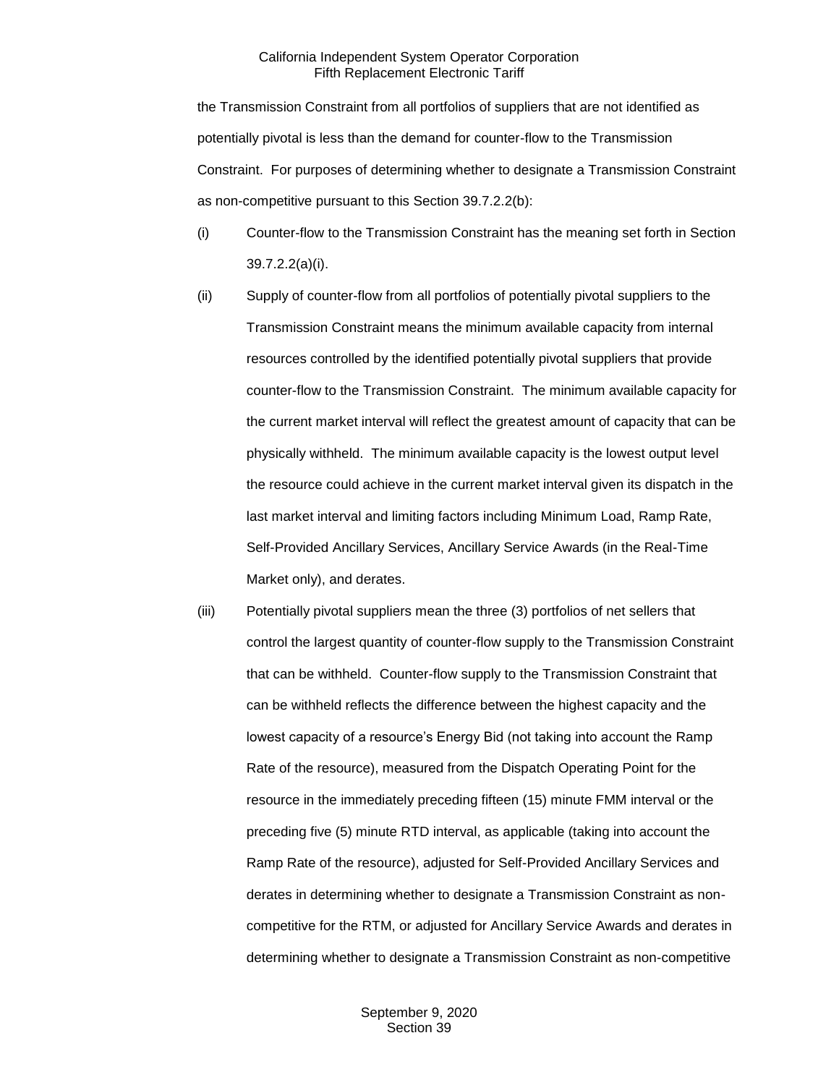the Transmission Constraint from all portfolios of suppliers that are not identified as potentially pivotal is less than the demand for counter-flow to the Transmission Constraint. For purposes of determining whether to designate a Transmission Constraint as non-competitive pursuant to this Section 39.7.2.2(b):

- (i) Counter-flow to the Transmission Constraint has the meaning set forth in Section 39.7.2.2(a)(i).
- (ii) Supply of counter-flow from all portfolios of potentially pivotal suppliers to the Transmission Constraint means the minimum available capacity from internal resources controlled by the identified potentially pivotal suppliers that provide counter-flow to the Transmission Constraint. The minimum available capacity for the current market interval will reflect the greatest amount of capacity that can be physically withheld. The minimum available capacity is the lowest output level the resource could achieve in the current market interval given its dispatch in the last market interval and limiting factors including Minimum Load, Ramp Rate, Self-Provided Ancillary Services, Ancillary Service Awards (in the Real-Time Market only), and derates.
- (iii) Potentially pivotal suppliers mean the three (3) portfolios of net sellers that control the largest quantity of counter-flow supply to the Transmission Constraint that can be withheld. Counter-flow supply to the Transmission Constraint that can be withheld reflects the difference between the highest capacity and the lowest capacity of a resource's Energy Bid (not taking into account the Ramp Rate of the resource), measured from the Dispatch Operating Point for the resource in the immediately preceding fifteen (15) minute FMM interval or the preceding five (5) minute RTD interval, as applicable (taking into account the Ramp Rate of the resource), adjusted for Self-Provided Ancillary Services and derates in determining whether to designate a Transmission Constraint as noncompetitive for the RTM, or adjusted for Ancillary Service Awards and derates in determining whether to designate a Transmission Constraint as non-competitive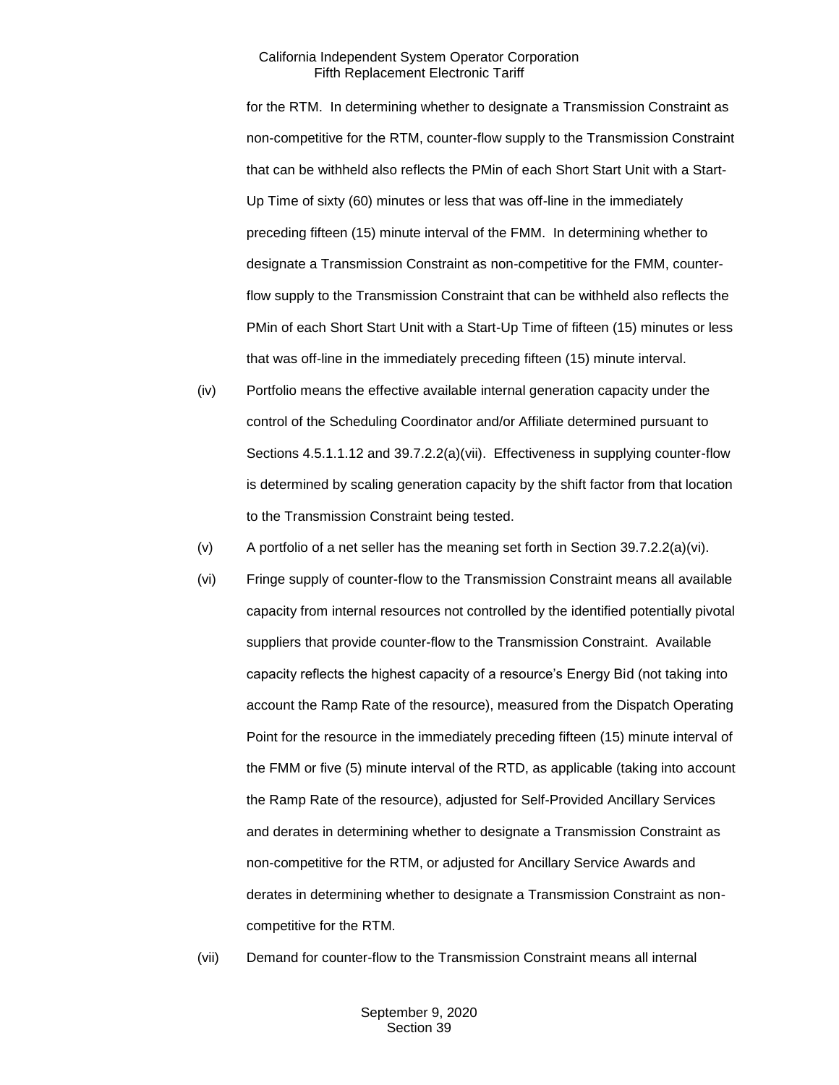for the RTM. In determining whether to designate a Transmission Constraint as non-competitive for the RTM, counter-flow supply to the Transmission Constraint that can be withheld also reflects the PMin of each Short Start Unit with a Start-Up Time of sixty (60) minutes or less that was off-line in the immediately preceding fifteen (15) minute interval of the FMM. In determining whether to designate a Transmission Constraint as non-competitive for the FMM, counterflow supply to the Transmission Constraint that can be withheld also reflects the PMin of each Short Start Unit with a Start-Up Time of fifteen (15) minutes or less that was off-line in the immediately preceding fifteen (15) minute interval.

- (iv) Portfolio means the effective available internal generation capacity under the control of the Scheduling Coordinator and/or Affiliate determined pursuant to Sections 4.5.1.1.12 and 39.7.2.2(a)(vii). Effectiveness in supplying counter-flow is determined by scaling generation capacity by the shift factor from that location to the Transmission Constraint being tested.
- (v) A portfolio of a net seller has the meaning set forth in Section 39.7.2.2(a)(vi).
- (vi) Fringe supply of counter-flow to the Transmission Constraint means all available capacity from internal resources not controlled by the identified potentially pivotal suppliers that provide counter-flow to the Transmission Constraint. Available capacity reflects the highest capacity of a resource's Energy Bid (not taking into account the Ramp Rate of the resource), measured from the Dispatch Operating Point for the resource in the immediately preceding fifteen (15) minute interval of the FMM or five (5) minute interval of the RTD, as applicable (taking into account the Ramp Rate of the resource), adjusted for Self-Provided Ancillary Services and derates in determining whether to designate a Transmission Constraint as non-competitive for the RTM, or adjusted for Ancillary Service Awards and derates in determining whether to designate a Transmission Constraint as noncompetitive for the RTM.
- (vii) Demand for counter-flow to the Transmission Constraint means all internal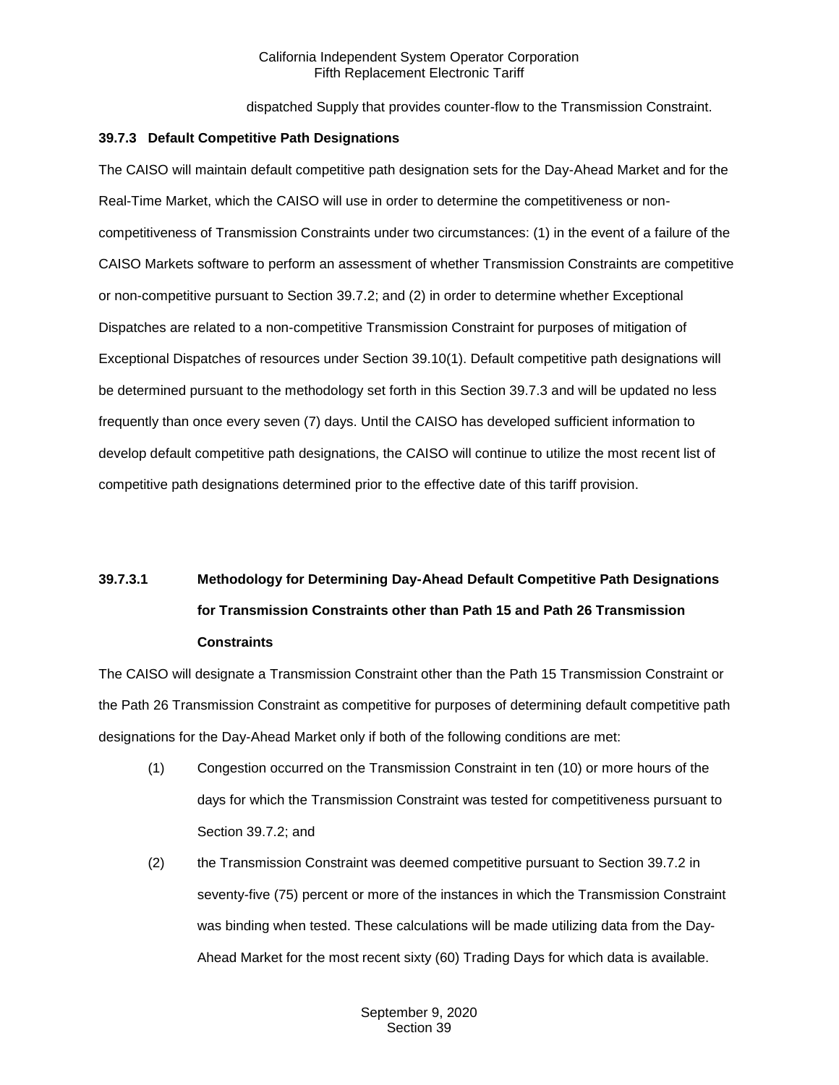dispatched Supply that provides counter-flow to the Transmission Constraint.

#### <span id="page-23-0"></span>**39.7.3 Default Competitive Path Designations**

The CAISO will maintain default competitive path designation sets for the Day-Ahead Market and for the Real-Time Market, which the CAISO will use in order to determine the competitiveness or noncompetitiveness of Transmission Constraints under two circumstances: (1) in the event of a failure of the CAISO Markets software to perform an assessment of whether Transmission Constraints are competitive or non-competitive pursuant to Section 39.7.2; and (2) in order to determine whether Exceptional Dispatches are related to a non-competitive Transmission Constraint for purposes of mitigation of Exceptional Dispatches of resources under Section 39.10(1). Default competitive path designations will be determined pursuant to the methodology set forth in this Section 39.7.3 and will be updated no less frequently than once every seven (7) days. Until the CAISO has developed sufficient information to develop default competitive path designations, the CAISO will continue to utilize the most recent list of competitive path designations determined prior to the effective date of this tariff provision.

# **39.7.3.1 Methodology for Determining Day-Ahead Default Competitive Path Designations for Transmission Constraints other than Path 15 and Path 26 Transmission Constraints**

The CAISO will designate a Transmission Constraint other than the Path 15 Transmission Constraint or the Path 26 Transmission Constraint as competitive for purposes of determining default competitive path designations for the Day-Ahead Market only if both of the following conditions are met:

- (1) Congestion occurred on the Transmission Constraint in ten (10) or more hours of the days for which the Transmission Constraint was tested for competitiveness pursuant to Section 39.7.2; and
- (2) the Transmission Constraint was deemed competitive pursuant to Section 39.7.2 in seventy-five (75) percent or more of the instances in which the Transmission Constraint was binding when tested. These calculations will be made utilizing data from the Day-Ahead Market for the most recent sixty (60) Trading Days for which data is available.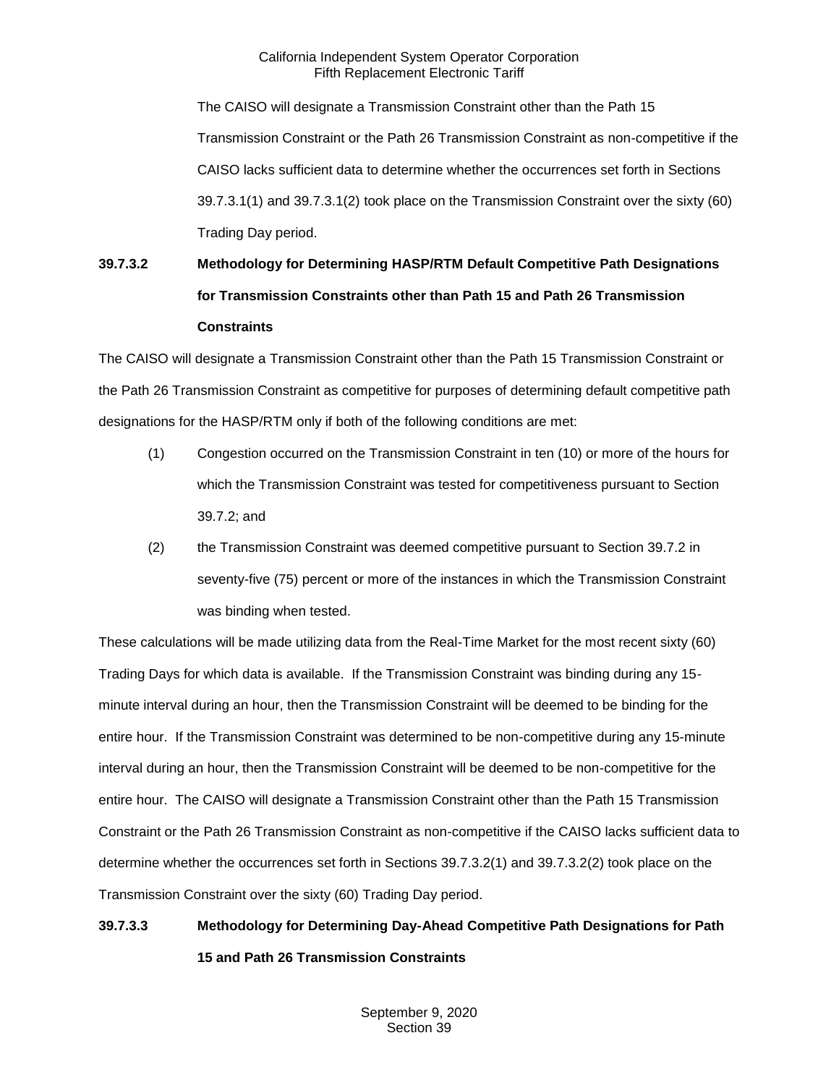The CAISO will designate a Transmission Constraint other than the Path 15 Transmission Constraint or the Path 26 Transmission Constraint as non-competitive if the CAISO lacks sufficient data to determine whether the occurrences set forth in Sections 39.7.3.1(1) and 39.7.3.1(2) took place on the Transmission Constraint over the sixty (60) Trading Day period.

# **39.7.3.2 Methodology for Determining HASP/RTM Default Competitive Path Designations for Transmission Constraints other than Path 15 and Path 26 Transmission Constraints**

The CAISO will designate a Transmission Constraint other than the Path 15 Transmission Constraint or the Path 26 Transmission Constraint as competitive for purposes of determining default competitive path designations for the HASP/RTM only if both of the following conditions are met:

- (1) Congestion occurred on the Transmission Constraint in ten (10) or more of the hours for which the Transmission Constraint was tested for competitiveness pursuant to Section 39.7.2; and
- (2) the Transmission Constraint was deemed competitive pursuant to Section 39.7.2 in seventy-five (75) percent or more of the instances in which the Transmission Constraint was binding when tested.

These calculations will be made utilizing data from the Real-Time Market for the most recent sixty (60) Trading Days for which data is available. If the Transmission Constraint was binding during any 15 minute interval during an hour, then the Transmission Constraint will be deemed to be binding for the entire hour. If the Transmission Constraint was determined to be non-competitive during any 15-minute interval during an hour, then the Transmission Constraint will be deemed to be non-competitive for the entire hour. The CAISO will designate a Transmission Constraint other than the Path 15 Transmission Constraint or the Path 26 Transmission Constraint as non-competitive if the CAISO lacks sufficient data to determine whether the occurrences set forth in Sections 39.7.3.2(1) and 39.7.3.2(2) took place on the Transmission Constraint over the sixty (60) Trading Day period.

# **39.7.3.3 Methodology for Determining Day-Ahead Competitive Path Designations for Path 15 and Path 26 Transmission Constraints**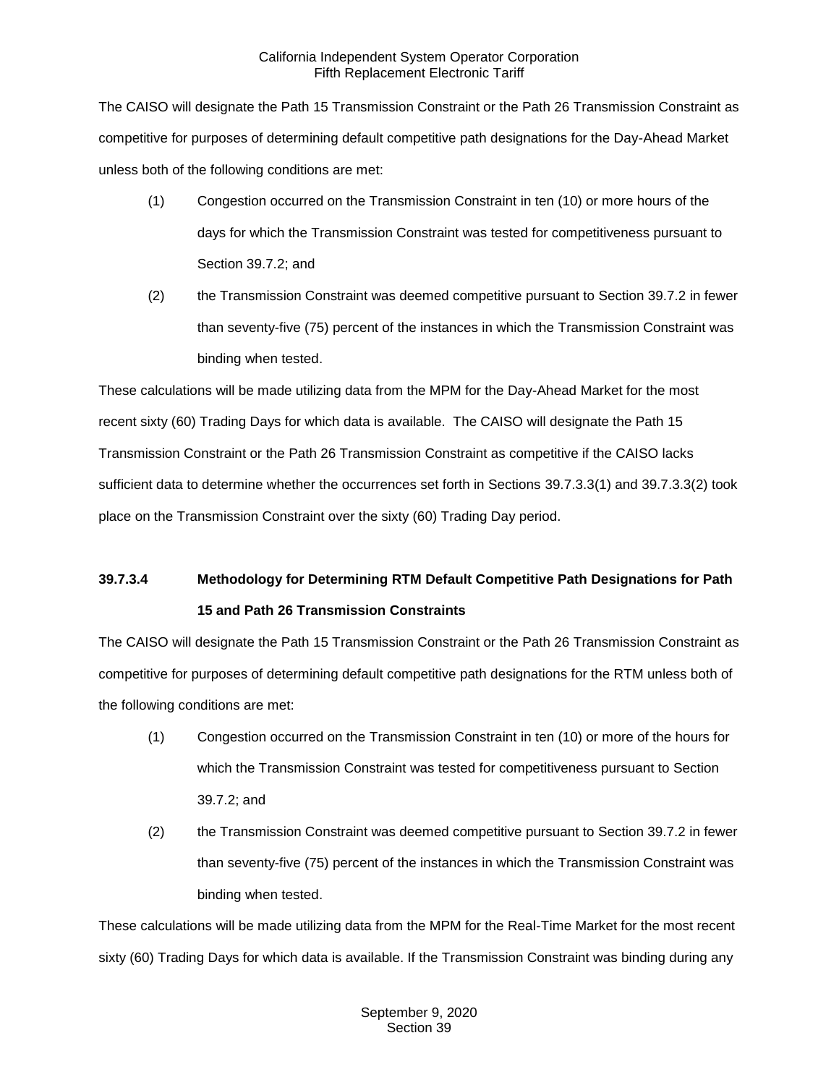The CAISO will designate the Path 15 Transmission Constraint or the Path 26 Transmission Constraint as competitive for purposes of determining default competitive path designations for the Day-Ahead Market unless both of the following conditions are met:

- (1) Congestion occurred on the Transmission Constraint in ten (10) or more hours of the days for which the Transmission Constraint was tested for competitiveness pursuant to Section 39.7.2; and
- (2) the Transmission Constraint was deemed competitive pursuant to Section 39.7.2 in fewer than seventy-five (75) percent of the instances in which the Transmission Constraint was binding when tested.

These calculations will be made utilizing data from the MPM for the Day-Ahead Market for the most recent sixty (60) Trading Days for which data is available. The CAISO will designate the Path 15 Transmission Constraint or the Path 26 Transmission Constraint as competitive if the CAISO lacks sufficient data to determine whether the occurrences set forth in Sections 39.7.3.3(1) and 39.7.3.3(2) took place on the Transmission Constraint over the sixty (60) Trading Day period.

# **39.7.3.4 Methodology for Determining RTM Default Competitive Path Designations for Path 15 and Path 26 Transmission Constraints**

The CAISO will designate the Path 15 Transmission Constraint or the Path 26 Transmission Constraint as competitive for purposes of determining default competitive path designations for the RTM unless both of the following conditions are met:

- (1) Congestion occurred on the Transmission Constraint in ten (10) or more of the hours for which the Transmission Constraint was tested for competitiveness pursuant to Section 39.7.2; and
- (2) the Transmission Constraint was deemed competitive pursuant to Section 39.7.2 in fewer than seventy-five (75) percent of the instances in which the Transmission Constraint was binding when tested.

These calculations will be made utilizing data from the MPM for the Real-Time Market for the most recent sixty (60) Trading Days for which data is available. If the Transmission Constraint was binding during any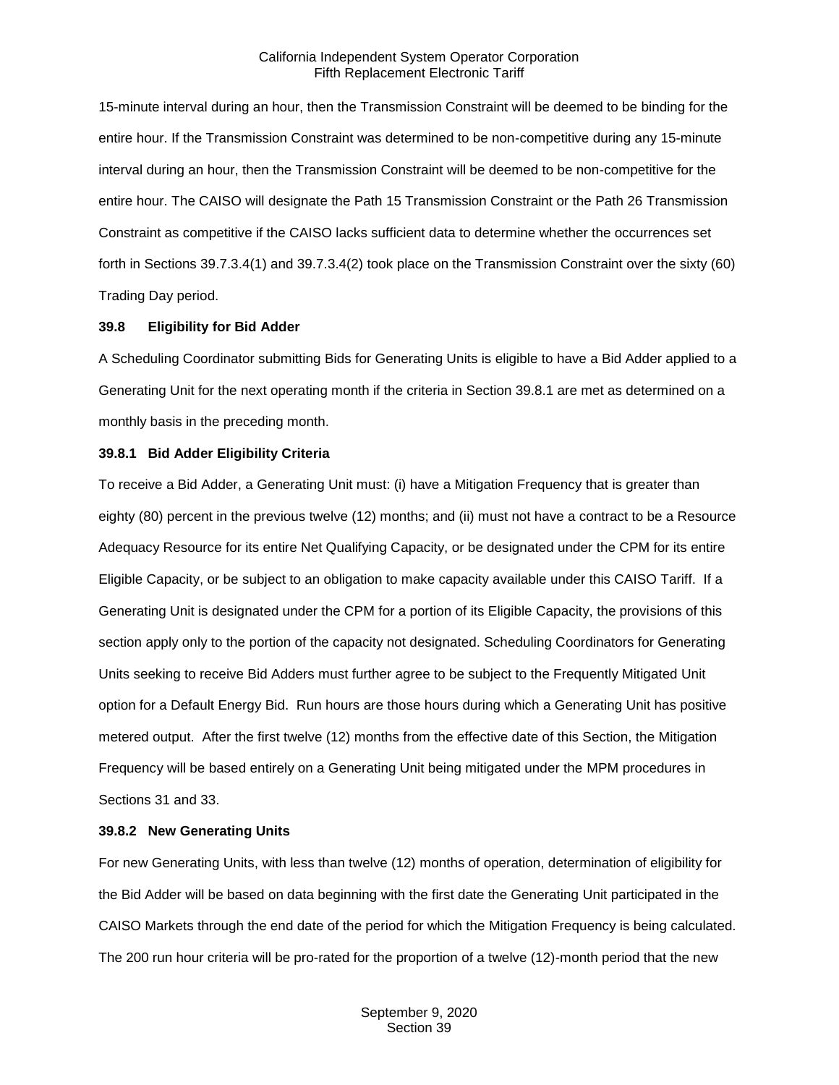15-minute interval during an hour, then the Transmission Constraint will be deemed to be binding for the entire hour. If the Transmission Constraint was determined to be non-competitive during any 15-minute interval during an hour, then the Transmission Constraint will be deemed to be non-competitive for the entire hour. The CAISO will designate the Path 15 Transmission Constraint or the Path 26 Transmission Constraint as competitive if the CAISO lacks sufficient data to determine whether the occurrences set forth in Sections 39.7.3.4(1) and 39.7.3.4(2) took place on the Transmission Constraint over the sixty (60) Trading Day period.

#### <span id="page-26-0"></span>**39.8 Eligibility for Bid Adder**

A Scheduling Coordinator submitting Bids for Generating Units is eligible to have a Bid Adder applied to a Generating Unit for the next operating month if the criteria in Section 39.8.1 are met as determined on a monthly basis in the preceding month.

#### <span id="page-26-1"></span>**39.8.1 Bid Adder Eligibility Criteria**

To receive a Bid Adder, a Generating Unit must: (i) have a Mitigation Frequency that is greater than eighty (80) percent in the previous twelve (12) months; and (ii) must not have a contract to be a Resource Adequacy Resource for its entire Net Qualifying Capacity, or be designated under the CPM for its entire Eligible Capacity, or be subject to an obligation to make capacity available under this CAISO Tariff. If a Generating Unit is designated under the CPM for a portion of its Eligible Capacity, the provisions of this section apply only to the portion of the capacity not designated. Scheduling Coordinators for Generating Units seeking to receive Bid Adders must further agree to be subject to the Frequently Mitigated Unit option for a Default Energy Bid. Run hours are those hours during which a Generating Unit has positive metered output. After the first twelve (12) months from the effective date of this Section, the Mitigation Frequency will be based entirely on a Generating Unit being mitigated under the MPM procedures in Sections 31 and 33.

#### <span id="page-26-2"></span>**39.8.2 New Generating Units**

For new Generating Units, with less than twelve (12) months of operation, determination of eligibility for the Bid Adder will be based on data beginning with the first date the Generating Unit participated in the CAISO Markets through the end date of the period for which the Mitigation Frequency is being calculated. The 200 run hour criteria will be pro-rated for the proportion of a twelve (12)-month period that the new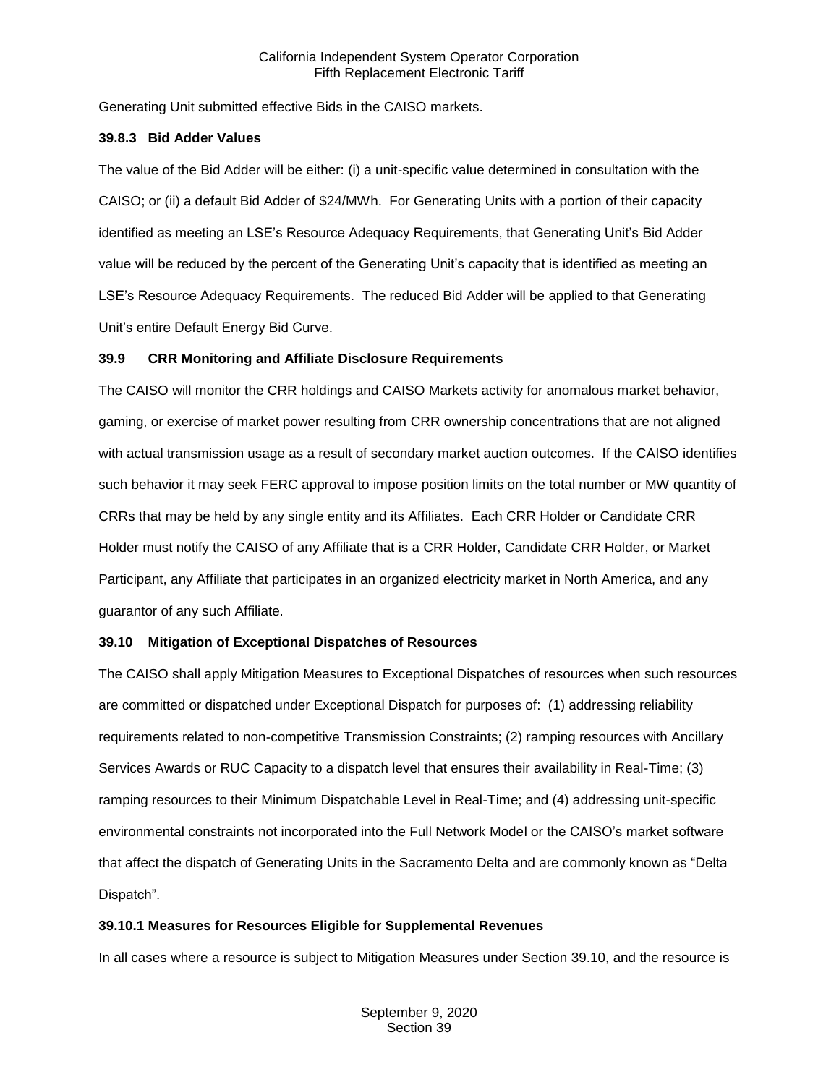Generating Unit submitted effective Bids in the CAISO markets.

#### <span id="page-27-0"></span>**39.8.3 Bid Adder Values**

The value of the Bid Adder will be either: (i) a unit-specific value determined in consultation with the CAISO; or (ii) a default Bid Adder of \$24/MWh. For Generating Units with a portion of their capacity identified as meeting an LSE's Resource Adequacy Requirements, that Generating Unit's Bid Adder value will be reduced by the percent of the Generating Unit's capacity that is identified as meeting an LSE's Resource Adequacy Requirements. The reduced Bid Adder will be applied to that Generating Unit's entire Default Energy Bid Curve.

## <span id="page-27-1"></span>**39.9 CRR Monitoring and Affiliate Disclosure Requirements**

The CAISO will monitor the CRR holdings and CAISO Markets activity for anomalous market behavior, gaming, or exercise of market power resulting from CRR ownership concentrations that are not aligned with actual transmission usage as a result of secondary market auction outcomes. If the CAISO identifies such behavior it may seek FERC approval to impose position limits on the total number or MW quantity of CRRs that may be held by any single entity and its Affiliates. Each CRR Holder or Candidate CRR Holder must notify the CAISO of any Affiliate that is a CRR Holder, Candidate CRR Holder, or Market Participant, any Affiliate that participates in an organized electricity market in North America, and any guarantor of any such Affiliate.

## <span id="page-27-2"></span>**39.10 Mitigation of Exceptional Dispatches of Resources**

The CAISO shall apply Mitigation Measures to Exceptional Dispatches of resources when such resources are committed or dispatched under Exceptional Dispatch for purposes of: (1) addressing reliability requirements related to non-competitive Transmission Constraints; (2) ramping resources with Ancillary Services Awards or RUC Capacity to a dispatch level that ensures their availability in Real-Time; (3) ramping resources to their Minimum Dispatchable Level in Real-Time; and (4) addressing unit-specific environmental constraints not incorporated into the Full Network Model or the CAISO's market software that affect the dispatch of Generating Units in the Sacramento Delta and are commonly known as "Delta Dispatch".

## <span id="page-27-3"></span>**39.10.1 Measures for Resources Eligible for Supplemental Revenues**

In all cases where a resource is subject to Mitigation Measures under Section 39.10, and the resource is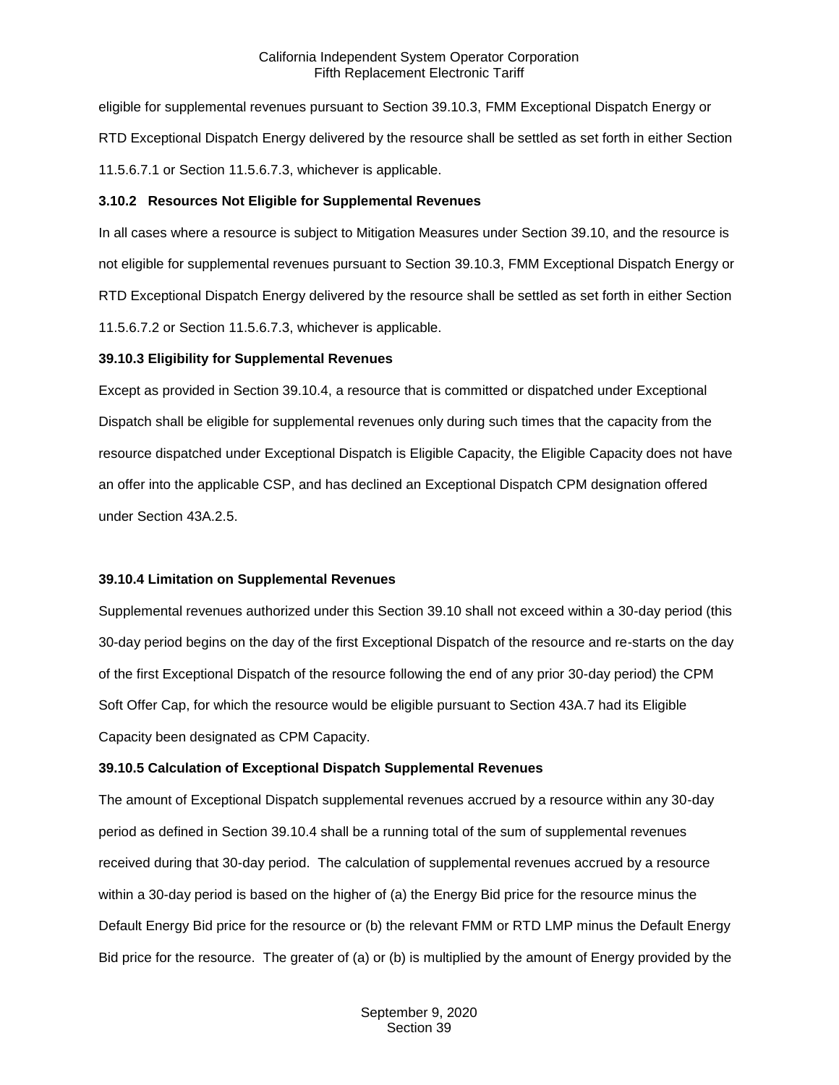eligible for supplemental revenues pursuant to Section 39.10.3, FMM Exceptional Dispatch Energy or RTD Exceptional Dispatch Energy delivered by the resource shall be settled as set forth in either Section 11.5.6.7.1 or Section 11.5.6.7.3, whichever is applicable.

#### <span id="page-28-0"></span>**3.10.2 Resources Not Eligible for Supplemental Revenues**

In all cases where a resource is subject to Mitigation Measures under Section 39.10, and the resource is not eligible for supplemental revenues pursuant to Section 39.10.3, FMM Exceptional Dispatch Energy or RTD Exceptional Dispatch Energy delivered by the resource shall be settled as set forth in either Section 11.5.6.7.2 or Section 11.5.6.7.3, whichever is applicable.

#### <span id="page-28-1"></span>**39.10.3 Eligibility for Supplemental Revenues**

Except as provided in Section 39.10.4, a resource that is committed or dispatched under Exceptional Dispatch shall be eligible for supplemental revenues only during such times that the capacity from the resource dispatched under Exceptional Dispatch is Eligible Capacity, the Eligible Capacity does not have an offer into the applicable CSP, and has declined an Exceptional Dispatch CPM designation offered under Section 43A.2.5.

## <span id="page-28-2"></span>**39.10.4 Limitation on Supplemental Revenues**

Supplemental revenues authorized under this Section 39.10 shall not exceed within a 30-day period (this 30-day period begins on the day of the first Exceptional Dispatch of the resource and re-starts on the day of the first Exceptional Dispatch of the resource following the end of any prior 30-day period) the CPM Soft Offer Cap, for which the resource would be eligible pursuant to Section 43A.7 had its Eligible Capacity been designated as CPM Capacity.

## <span id="page-28-3"></span>**39.10.5 Calculation of Exceptional Dispatch Supplemental Revenues**

The amount of Exceptional Dispatch supplemental revenues accrued by a resource within any 30-day period as defined in Section 39.10.4 shall be a running total of the sum of supplemental revenues received during that 30-day period. The calculation of supplemental revenues accrued by a resource within a 30-day period is based on the higher of (a) the Energy Bid price for the resource minus the Default Energy Bid price for the resource or (b) the relevant FMM or RTD LMP minus the Default Energy Bid price for the resource. The greater of (a) or (b) is multiplied by the amount of Energy provided by the